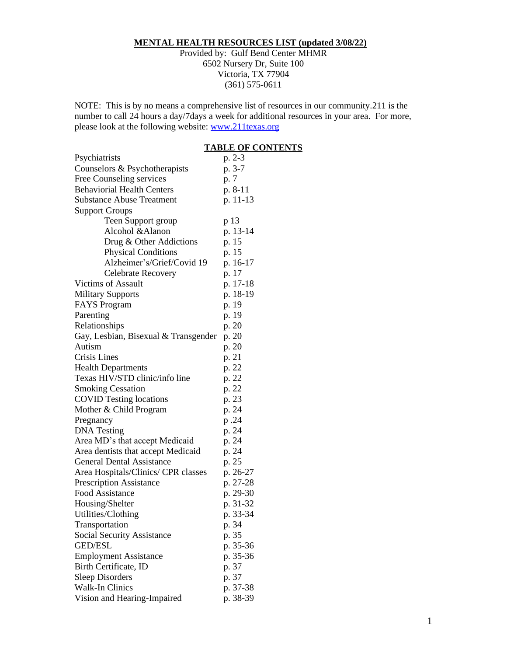# **MENTAL HEALTH RESOURCES LIST (updated 3/08/22)**

Provided by: Gulf Bend Center MHMR 6502 Nursery Dr, Suite 100 Victoria, TX 77904 (361) 575-0611

NOTE: This is by no means a comprehensive list of resources in our community.211 is the number to call 24 hours a day/7days a week for additional resources in your area. For more, please look at the following website: [www.211texas.org](http://www.211texas.org/)

# **TABLE OF CONTENTS**

| Psychiatrists                        | p. 2-3   |
|--------------------------------------|----------|
| Counselors & Psychotherapists        | p. 3-7   |
| Free Counseling services             | p. 7     |
| <b>Behaviorial Health Centers</b>    | p. 8-11  |
| <b>Substance Abuse Treatment</b>     | p. 11-13 |
| <b>Support Groups</b>                |          |
| Teen Support group                   | p 13     |
| Alcohol & Alanon                     | p. 13-14 |
| Drug & Other Addictions              | p. 15    |
| <b>Physical Conditions</b>           | p. 15    |
| Alzheimer's/Grief/Covid 19           | p. 16-17 |
| Celebrate Recovery                   | p. 17    |
| Victims of Assault                   | p. 17-18 |
| <b>Military Supports</b>             | p. 18-19 |
| <b>FAYS</b> Program                  | p. 19    |
| Parenting                            | p. 19    |
| Relationships                        | p. 20    |
| Gay, Lesbian, Bisexual & Transgender | p. 20    |
| Autism                               | p. 20    |
| Crisis Lines                         | p. 21    |
| <b>Health Departments</b>            | p. 22    |
| Texas HIV/STD clinic/info line       | p. 22    |
| <b>Smoking Cessation</b>             | p. 22    |
| <b>COVID Testing locations</b>       | p. 23    |
| Mother & Child Program               | p. 24    |
| Pregnancy                            | p.24     |
| <b>DNA</b> Testing                   | p. 24    |
| Area MD's that accept Medicaid       | p. 24    |
| Area dentists that accept Medicaid   | p. 24    |
| <b>General Dental Assistance</b>     | p. 25    |
| Area Hospitals/Clinics/ CPR classes  | p. 26-27 |
| <b>Prescription Assistance</b>       | p. 27-28 |
| <b>Food Assistance</b>               | p. 29-30 |
| Housing/Shelter                      | p. 31-32 |
| Utilities/Clothing                   | p. 33-34 |
| Transportation                       | p. 34    |
| <b>Social Security Assistance</b>    | p. 35    |
| <b>GED/ESL</b>                       | p. 35-36 |
| <b>Employment Assistance</b>         | p. 35-36 |
| Birth Certificate, ID                | p. 37    |
| <b>Sleep Disorders</b>               | p. 37    |
| <b>Walk-In Clinics</b>               | p. 37-38 |
| Vision and Hearing-Impaired          | p. 38-39 |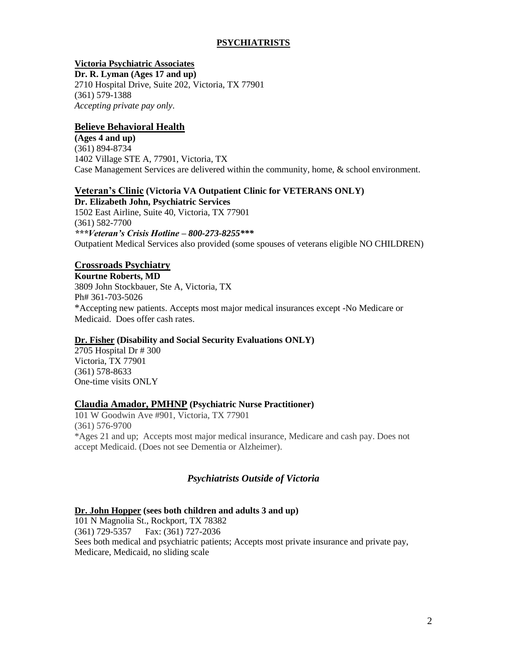# **PSYCHIATRISTS**

# **Victoria Psychiatric Associates**

**Dr. R. Lyman (Ages 17 and up)** 2710 Hospital Drive, Suite 202, Victoria, TX 77901 (361) 579-1388 *Accepting private pay only*.

# **Believe Behavioral Health**

**(Ages 4 and up)** (361) 894-8734 1402 Village STE A, 77901, Victoria, TX Case Management Services are delivered within the community, home, & school environment.

# **Veteran's Clinic (Victoria VA Outpatient Clinic for VETERANS ONLY)**

**Dr. Elizabeth John, Psychiatric Services** 1502 East Airline, Suite 40, Victoria, TX 77901 (361) 582-7700 *\*\*\*Veteran's Crisis Hotline – 800-273-8255\*\*\** Outpatient Medical Services also provided (some spouses of veterans eligible NO CHILDREN)

# **Crossroads Psychiatry**

**Kourtne Roberts, MD**

3809 John Stockbauer, Ste A, Victoria, TX Ph# 361-703-5026 \*Accepting new patients. Accepts most major medical insurances except -No Medicare or Medicaid. Does offer cash rates.

## **Dr. Fisher (Disability and Social Security Evaluations ONLY)**

2705 Hospital Dr # 300 Victoria, TX 77901 (361) 578-8633 One-time visits ONLY

## **Claudia Amador, PMHNP (Psychiatric Nurse Practitioner)**

101 W Goodwin Ave #901, Victoria, TX 77901 (361) 576-9700 \*Ages 21 and up; Accepts most major medical insurance, Medicare and cash pay. Does not accept Medicaid. (Does not see Dementia or Alzheimer).

# *Psychiatrists Outside of Victoria*

## **Dr. John Hopper (sees both children and adults 3 and up)**

101 N Magnolia St., Rockport, TX 78382 (361) 729-5357 Fax: (361) 727-2036 Sees both medical and psychiatric patients; Accepts most private insurance and private pay, Medicare, Medicaid, no sliding scale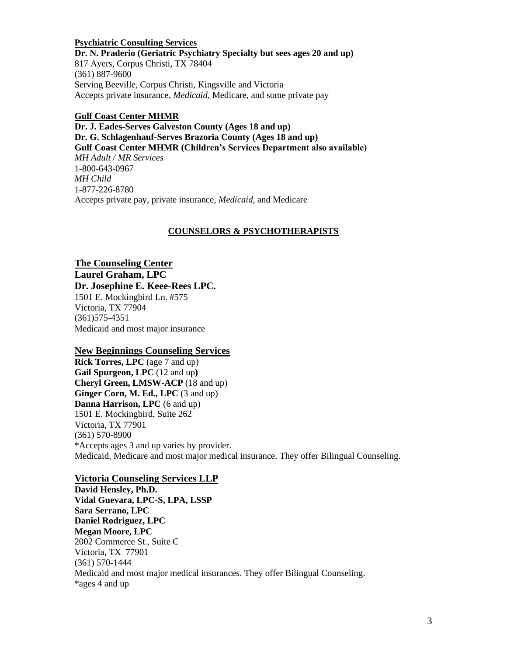**Psychiatric Consulting Services Dr. N. Praderio (Geriatric Psychiatry Specialty but sees ages 20 and up)** 817 Ayers, Corpus Christi, TX 78404 (361) 887-9600 Serving Beeville, Corpus Christi, Kingsville and Victoria Accepts private insurance, *Medicaid*, Medicare, and some private pay

#### **Gulf Coast Center MHMR**

**Dr. J. Eades-Serves Galveston County (Ages 18 and up) Dr. G. Schlagenhauf-Serves Brazoria County (Ages 18 and up) Gulf Coast Center MHMR (Children's Services Department also available)** *MH Adult / MR Services*  1-800-643-0967 *MH Child* 1-877-226-8780 Accepts private pay, private insurance, *Medicaid*, and Medicare

#### **COUNSELORS & PSYCHOTHERAPISTS**

# **The Counseling Center Laurel Graham, LPC**

**Dr. Josephine E. Keee-Rees LPC.**

1501 E. Mockingbird Ln. #575 Victoria, TX 77904 (361)575-4351 Medicaid and most major insurance

## **New Beginnings Counseling Services**

**Rick Torres, LPC** (age 7 and up) **Gail Spurgeon, LPC** (12 and up**) Cheryl Green, LMSW-ACP** (18 and up) **Ginger Corn, M. Ed., LPC** (3 and up) **Danna Harrison, LPC** (6 and up) 1501 E. Mockingbird, Suite 262 Victoria, TX 77901 (361) 570-8900 \*Accepts ages 3 and up varies by provider. Medicaid, Medicare and most major medical insurance. They offer Bilingual Counseling.

## **Victoria Counseling Services LLP**

**David Hensley, Ph.D. Vidal Guevara, LPC-S, LPA, LSSP Sara Serrano, LPC Daniel Rodriguez, LPC Megan Moore, LPC** 2002 Commerce St., Suite C Victoria, TX 77901 (361) 570-1444 Medicaid and most major medical insurances. They offer Bilingual Counseling. \*ages 4 and up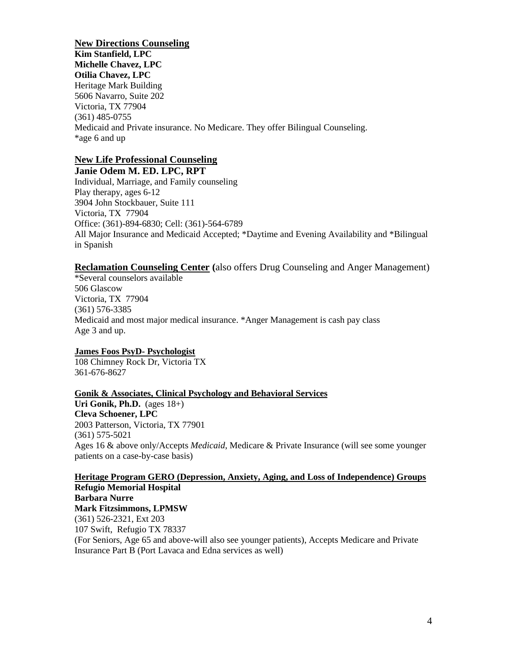**New Directions Counseling Kim Stanfield, LPC Michelle Chavez, LPC Otilia Chavez, LPC** Heritage Mark Building 5606 Navarro, Suite 202 Victoria, TX 77904 (361) 485-0755 Medicaid and Private insurance. No Medicare. They offer Bilingual Counseling. \*age 6 and up

# **New Life Professional Counseling**

**Janie Odem M. ED. LPC, RPT** Individual, Marriage, and Family counseling Play therapy, ages 6-12 3904 John Stockbauer, Suite 111 Victoria, TX 77904 Office: (361)-894-6830; Cell: (361)-564-6789 All Major Insurance and Medicaid Accepted; \*Daytime and Evening Availability and \*Bilingual in Spanish

## **Reclamation Counseling Center (**also offers Drug Counseling and Anger Management)

\*Several counselors available 506 Glascow Victoria, TX 77904 (361) 576-3385 Medicaid and most major medical insurance. \*Anger Management is cash pay class Age 3 and up.

## **James Foos PsyD- Psychologist**

108 Chimney Rock Dr, Victoria TX 361-676-8627

## **Gonik & Associates, Clinical Psychology and Behavioral Services**

**Uri Gonik, Ph.D.** (ages 18+) **Cleva Schoener, LPC** 2003 Patterson, Victoria, TX 77901 (361) 575-5021 Ages 16 & above only/Accepts *Medicaid*, Medicare & Private Insurance (will see some younger patients on a case-by-case basis)

#### **Heritage Program GERO (Depression, Anxiety, Aging, and Loss of Independence) Groups Refugio Memorial Hospital**

**Barbara Nurre Mark Fitzsimmons, LPMSW** (361) 526-2321, Ext 203 107 Swift, Refugio TX 78337 (For Seniors, Age 65 and above-will also see younger patients), Accepts Medicare and Private Insurance Part B (Port Lavaca and Edna services as well)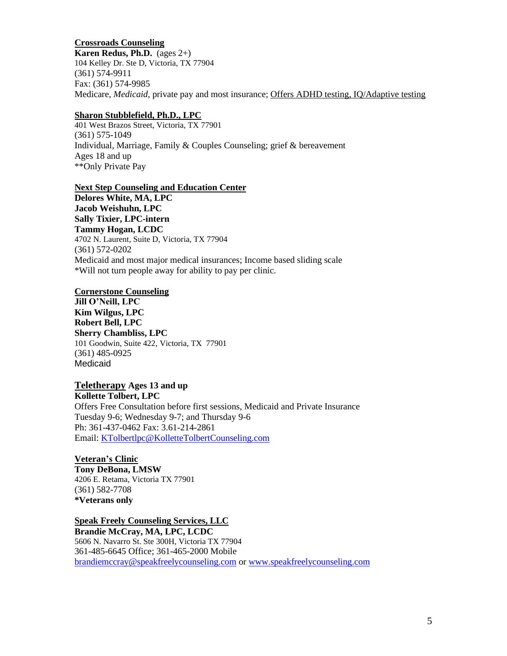**Crossroads Counseling Karen Redus, Ph.D.** (ages 2+) 104 Kelley Dr. Ste D, Victoria, TX 77904 (361) 574-9911 Fax: (361) 574-9985 Medicare, *Medicaid*, private pay and most insurance; Offers ADHD testing, IQ/Adaptive testing

#### **Sharon Stubblefield, Ph.D., LPC**

401 West Brazos Street, Victoria, TX 77901 (361) 575-1049 Individual, Marriage, Family & Couples Counseling; grief & bereavement Ages 18 and up \*\*Only Private Pay

#### **Next Step Counseling and Education Center**

**Delores White, MA, LPC Jacob Weishuhn, LPC Sally Tixier, LPC-intern Tammy Hogan, LCDC** 4702 N. Laurent, Suite D, Victoria, TX 77904 (361) 572-0202 Medicaid and most major medical insurances; Income based sliding scale \*Will not turn people away for ability to pay per clinic.

## **Cornerstone Counseling**

**Jill O'Neill, LPC Kim Wilgus, LPC Robert Bell, LPC Sherry Chambliss, LPC** 101 Goodwin, Suite 422, Victoria, TX 77901 (361) 485-0925 Medicaid

## **Teletherapy Ages 13 and up Kollette Tolbert, LPC**

Offers Free Consultation before first sessions, Medicaid and Private Insurance Tuesday 9-6; Wednesday 9-7; and Thursday 9-6 Ph: 361-437-0462 Fax: 3.61-214-2861 Email: [KTolbertlpc@KolletteTolbertCounseling.com](mailto:KTolbertlpc@KolletteTolbertCounseling.com)

#### **Veteran's Clinic Tony DeBona, LMSW** 4206 E. Retama, Victoria TX 77901 (361) 582-7708 **\*Veterans only**

**Speak Freely Counseling Services, LLC Brandie McCray, MA, LPC, LCDC** 5606 N. Navarro St. Ste 300H, Victoria TX 77904 361-485-6645 Office; 361-465-2000 Mobile [brandiemccray@speakfreelycounseling.com](mailto:brandiemccray@speakfreelycounseling.com) or [www.speakfreelycounseling.com](http://www.speakfreelycounseling.com/)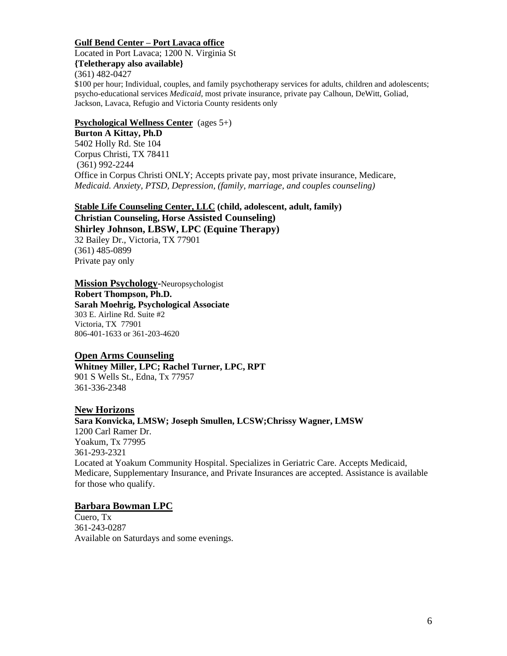## **Gulf Bend Center – Port Lavaca office**

Located in Port Lavaca; 1200 N. Virginia St

**{Teletherapy also available}** (361) 482-0427

\$100 per hour; Individual, couples, and family psychotherapy services for adults, children and adolescents; psycho-educational services *Medicaid*, most private insurance, private pay Calhoun, DeWitt, Goliad, Jackson, Lavaca, Refugio and Victoria County residents only

# **Psychological Wellness Center** (ages 5+)

**Burton A Kittay, Ph.D** 5402 Holly Rd. Ste 104 Corpus Christi, TX 78411 (361) 992-2244 Office in Corpus Christi ONLY; Accepts private pay, most private insurance, Medicare, *Medicaid. Anxiety, PTSD, Depression, (family, marriage, and couples counseling)* 

**Stable Life Counseling Center, LLC (child, adolescent, adult, family) Christian Counseling, Horse Assisted Counseling) Shirley Johnson, LBSW, LPC (Equine Therapy)** 32 Bailey Dr., Victoria, TX 77901 (361) 485-0899 Private pay only

## **Mission Psychology-**Neuropsychologist

**Robert Thompson, Ph.D. Sarah Moehrig, Psychological Associate** 303 E. Airline Rd. Suite #2 Victoria, TX 77901 806-401-1633 or 361-203-4620

# **Open Arms Counseling**

**Whitney Miller, LPC; Rachel Turner, LPC, RPT** 901 S Wells St., Edna, Tx 77957 361-336-2348

# **New Horizons**

# **Sara Konvicka, LMSW; Joseph Smullen, LCSW;Chrissy Wagner, LMSW** 1200 Carl Ramer Dr. Yoakum, Tx 77995 361-293-2321 Located at Yoakum Community Hospital. Specializes in Geriatric Care. Accepts Medicaid, Medicare, Supplementary Insurance, and Private Insurances are accepted. Assistance is available for those who qualify.

# **Barbara Bowman LPC**

Cuero, Tx 361-243-0287 Available on Saturdays and some evenings.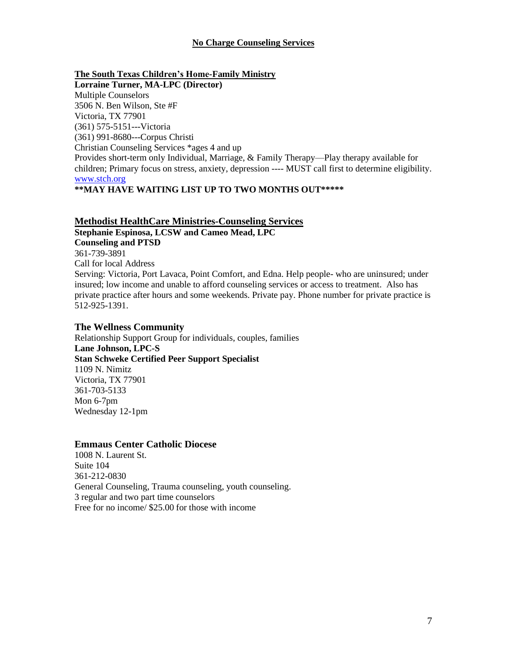# **No Charge Counseling Services**

**The South Texas Children's Home-Family Ministry Lorraine Turner, MA-LPC (Director)** Multiple Counselors 3506 N. Ben Wilson, Ste #F Victoria, TX 77901 (361) 575-5151---Victoria (361) 991-8680---Corpus Christi Christian Counseling Services \*ages 4 and up Provides short-term only Individual, Marriage, & Family Therapy—Play therapy available for children; Primary focus on stress, anxiety, depression ---- MUST call first to determine eligibility. [www.stch.org](http://www.stch.org/)

# **\*\*MAY HAVE WAITING LIST UP TO TWO MONTHS OUT\*\*\*\*\***

# **Methodist HealthCare Ministries-Counseling Services**

**Stephanie Espinosa, LCSW and Cameo Mead, LPC Counseling and PTSD**  361-739-3891 Call for local Address Serving: Victoria, Port Lavaca, Point Comfort, and Edna. Help people- who are uninsured; under insured; low income and unable to afford counseling services or access to treatment. Also has private practice after hours and some weekends. Private pay. Phone number for private practice is 512-925-1391.

## **The Wellness Community**

Relationship Support Group for individuals, couples, families **Lane Johnson, LPC-S Stan Schweke Certified Peer Support Specialist** 1109 N. Nimitz Victoria, TX 77901 361-703-5133 Mon 6-7pm Wednesday 12-1pm

## **Emmaus Center Catholic Diocese**

1008 N. Laurent St. Suite 104 361-212-0830 General Counseling, Trauma counseling, youth counseling. 3 regular and two part time counselors Free for no income/ \$25.00 for those with income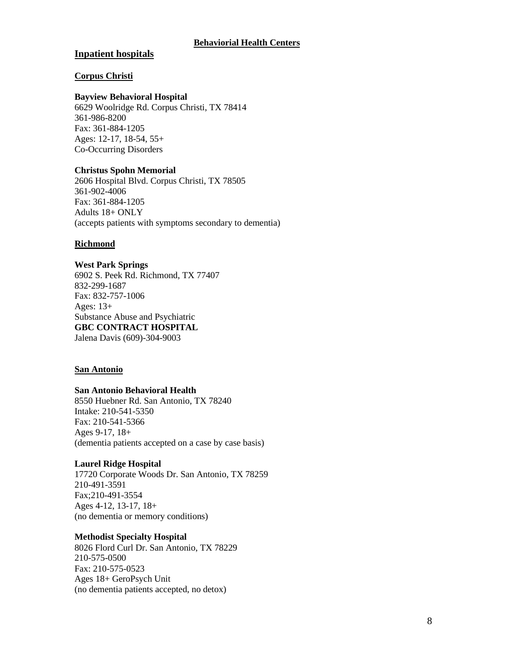# **Inpatient hospitals**

## **Corpus Christi**

#### **Bayview Behavioral Hospital**

6629 Woolridge Rd. Corpus Christi, TX 78414 361-986-8200 Fax: 361-884-1205 Ages: 12-17, 18-54, 55+ Co-Occurring Disorders

## **Christus Spohn Memorial**

2606 Hospital Blvd. Corpus Christi, TX 78505 361-902-4006 Fax: 361-884-1205 Adults 18+ ONLY (accepts patients with symptoms secondary to dementia)

## **Richmond**

**West Park Springs** 6902 S. Peek Rd. Richmond, TX 77407 832-299-1687 Fax: 832-757-1006 Ages: 13+ Substance Abuse and Psychiatric **GBC CONTRACT HOSPITAL** Jalena Davis (609)-304-9003

## **San Antonio**

#### **San Antonio Behavioral Health**

8550 Huebner Rd. San Antonio, TX 78240 Intake: 210-541-5350 Fax: 210-541-5366 Ages 9-17, 18+ (dementia patients accepted on a case by case basis)

## **Laurel Ridge Hospital**

17720 Corporate Woods Dr. San Antonio, TX 78259 210-491-3591 Fax;210-491-3554 Ages 4-12, 13-17, 18+ (no dementia or memory conditions)

#### **Methodist Specialty Hospital**

8026 Flord Curl Dr. San Antonio, TX 78229 210-575-0500 Fax: 210-575-0523 Ages 18+ GeroPsych Unit (no dementia patients accepted, no detox)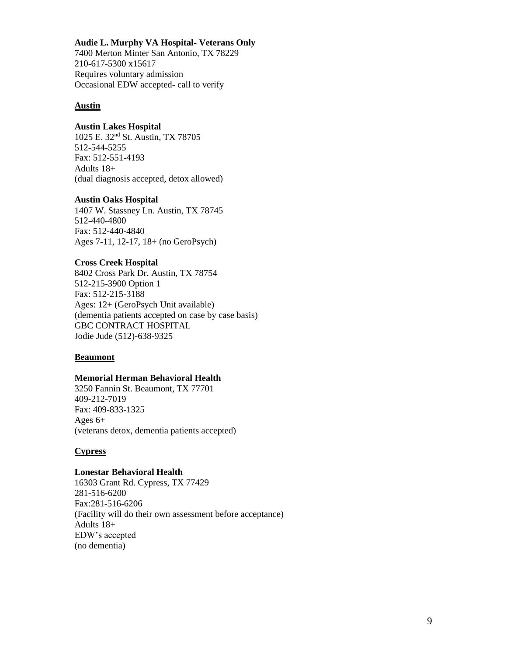#### **Audie L. Murphy VA Hospital- Veterans Only**

7400 Merton Minter San Antonio, TX 78229 210-617-5300 x15617 Requires voluntary admission Occasional EDW accepted- call to verify

#### **Austin**

#### **Austin Lakes Hospital**

1025 E. 32nd St. Austin, TX 78705 512-544-5255 Fax: 512-551-4193 Adults 18+ (dual diagnosis accepted, detox allowed)

#### **Austin Oaks Hospital**

1407 W. Stassney Ln. Austin, TX 78745 512-440-4800 Fax: 512-440-4840 Ages 7-11, 12-17, 18+ (no GeroPsych)

#### **Cross Creek Hospital**

8402 Cross Park Dr. Austin, TX 78754 512-215-3900 Option 1 Fax: 512-215-3188 Ages: 12+ (GeroPsych Unit available) (dementia patients accepted on case by case basis) GBC CONTRACT HOSPITAL Jodie Jude (512)-638-9325

#### **Beaumont**

#### **Memorial Herman Behavioral Health**

3250 Fannin St. Beaumont, TX 77701 409-212-7019 Fax: 409-833-1325 Ages 6+ (veterans detox, dementia patients accepted)

## **Cypress**

#### **Lonestar Behavioral Health**

16303 Grant Rd. Cypress, TX 77429 281-516-6200 Fax:281-516-6206 (Facility will do their own assessment before acceptance) Adults 18+ EDW's accepted (no dementia)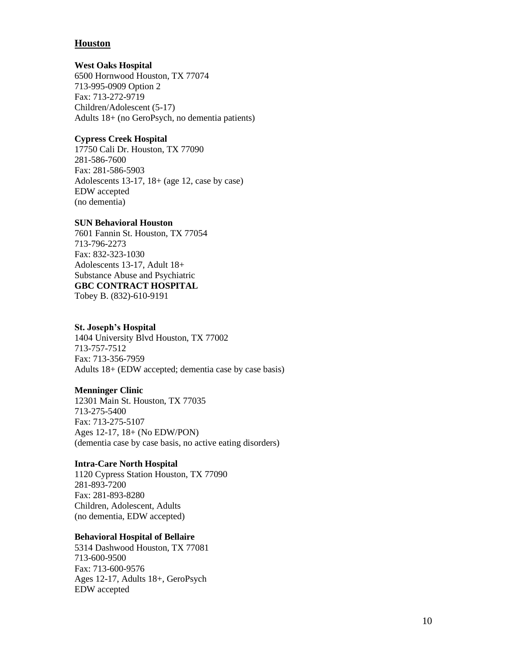# **Houston**

## **West Oaks Hospital**

6500 Hornwood Houston, TX 77074 713-995-0909 Option 2 Fax: 713-272-9719 Children/Adolescent (5-17) Adults 18+ (no GeroPsych, no dementia patients)

# **Cypress Creek Hospital**

17750 Cali Dr. Houston, TX 77090 281-586-7600 Fax: 281-586-5903 Adolescents 13-17, 18+ (age 12, case by case) EDW accepted (no dementia)

## **SUN Behavioral Houston**

7601 Fannin St. Houston, TX 77054 713-796-2273 Fax: 832-323-1030 Adolescents 13-17, Adult 18+ Substance Abuse and Psychiatric **GBC CONTRACT HOSPITAL** Tobey B. (832)-610-9191

#### **St. Joseph's Hospital**

1404 University Blvd Houston, TX 77002 713-757-7512 Fax: 713-356-7959 Adults 18+ (EDW accepted; dementia case by case basis)

## **Menninger Clinic**

12301 Main St. Houston, TX 77035 713-275-5400 Fax: 713-275-5107 Ages 12-17, 18+ (No EDW/PON) (dementia case by case basis, no active eating disorders)

## **Intra-Care North Hospital**

1120 Cypress Station Houston, TX 77090 281-893-7200 Fax: 281-893-8280 Children, Adolescent, Adults (no dementia, EDW accepted)

#### **Behavioral Hospital of Bellaire**

5314 Dashwood Houston, TX 77081 713-600-9500 Fax: 713-600-9576 Ages 12-17, Adults 18+, GeroPsych EDW accepted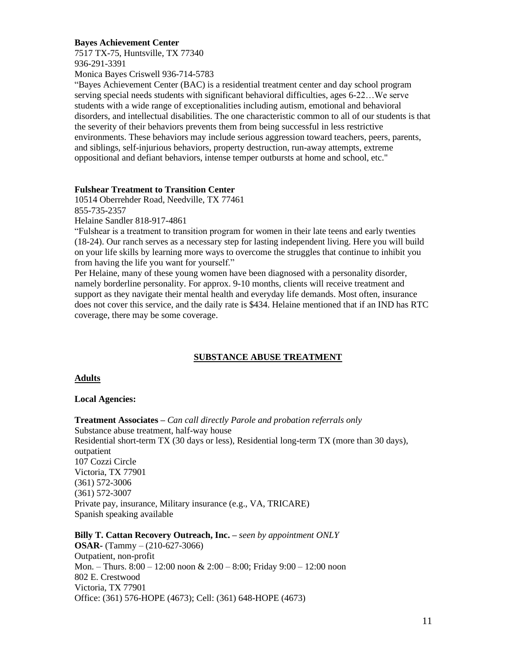#### **Bayes Achievement Center**

7517 TX-75, Huntsville, TX 77340 936-291-3391

Monica Bayes Criswell 936-714-5783

"Bayes Achievement Center (BAC) is a residential treatment center and day school program serving special needs students with significant behavioral difficulties, ages 6-22…We serve students with a wide range of exceptionalities including autism, emotional and behavioral disorders, and intellectual disabilities. The one characteristic common to all of our students is that the severity of their behaviors prevents them from being successful in less restrictive environments. These behaviors may include serious aggression toward teachers, peers, parents, and siblings, self-injurious behaviors, property destruction, run-away attempts, extreme oppositional and defiant behaviors, intense temper outbursts at home and school, etc."

# **Fulshear Treatment to Transition Center**

10514 Oberrehder Road, Needville, TX 77461 855-735-2357 Helaine Sandler 818-917-4861

"Fulshear is a treatment to transition program for women in their late teens and early twenties (18-24). Our ranch serves as a necessary step for lasting independent living. Here you will build on your life skills by learning more ways to overcome the struggles that continue to inhibit you from having the life you want for yourself."

Per Helaine, many of these young women have been diagnosed with a personality disorder, namely borderline personality. For approx. 9-10 months, clients will receive treatment and support as they navigate their mental health and everyday life demands. Most often, insurance does not cover this service, and the daily rate is \$434. Helaine mentioned that if an IND has RTC coverage, there may be some coverage.

# **SUBSTANCE ABUSE TREATMENT**

## **Adults**

## **Local Agencies:**

**Treatment Associates –** *Can call directly Parole and probation referrals only*  Substance abuse treatment, half-way house Residential short-term TX (30 days or less), Residential long-term TX (more than 30 days), outpatient 107 Cozzi Circle Victoria, TX 77901 (361) 572-3006 (361) 572-3007 Private pay, insurance, Military insurance (e.g., VA, TRICARE) Spanish speaking available

**Billy T. Cattan Recovery Outreach, Inc. –** *seen by appointment ONLY* **OSAR-** (Tammy – (210-627-3066) Outpatient, non-profit Mon. – Thurs. 8:00 – 12:00 noon & 2:00 – 8:00; Friday 9:00 – 12:00 noon 802 E. Crestwood Victoria, TX 77901 Office: (361) 576-HOPE (4673); Cell: (361) 648-HOPE (4673)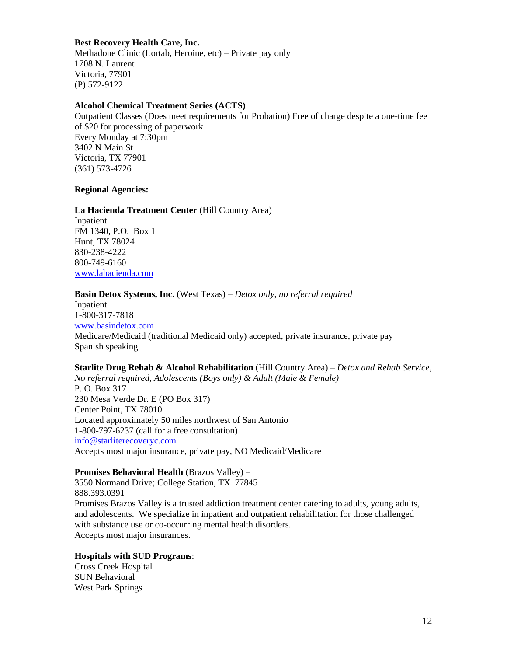#### **Best Recovery Health Care, Inc.**

Methadone Clinic (Lortab, Heroine, etc) – Private pay only 1708 N. Laurent Victoria, 77901 (P) 572-9122

## **Alcohol Chemical Treatment Series (ACTS)**

Outpatient Classes (Does meet requirements for Probation) Free of charge despite a one-time fee of \$20 for processing of paperwork Every Monday at 7:30pm 3402 N Main St Victoria, TX 77901 (361) 573-4726

#### **Regional Agencies:**

#### **La Hacienda Treatment Center** (Hill Country Area)

Inpatient FM 1340, P.O. Box 1 Hunt, TX 78024 830-238-4222 800-749-6160 [www.lahacienda.com](http://www.lahacienda.com/)

# **Basin Detox Systems, Inc.** (West Texas) – *Detox only, no referral required*

Inpatient 1-800-317-7818 [www.basindetox.com](http://www.basindetox.com/) Medicare/Medicaid (traditional Medicaid only) accepted, private insurance, private pay Spanish speaking

**Starlite Drug Rehab & Alcohol Rehabilitation** (Hill Country Area) – *Detox and Rehab Service, No referral required, Adolescents (Boys only) & Adult (Male & Female)* P. O. Box 317 230 Mesa Verde Dr. E (PO Box 317) Center Point, TX 78010 Located approximately 50 miles northwest of San Antonio 1-800-797-6237 (call for a free consultation) [info@starliterecoveryc.com](mailto:info@starliterecoveryc.com) Accepts most major insurance, private pay, NO Medicaid/Medicare

#### **Promises Behavioral Health** (Brazos Valley) –

3550 Normand Drive; College Station, TX 77845 888.393.0391 Promises Brazos Valley is a trusted addiction treatment center catering to adults, young adults, and adolescents. We specialize in inpatient and outpatient rehabilitation for those challenged with substance use or co-occurring mental health disorders. Accepts most major insurances.

# **Hospitals with SUD Programs**:

Cross Creek Hospital SUN Behavioral West Park Springs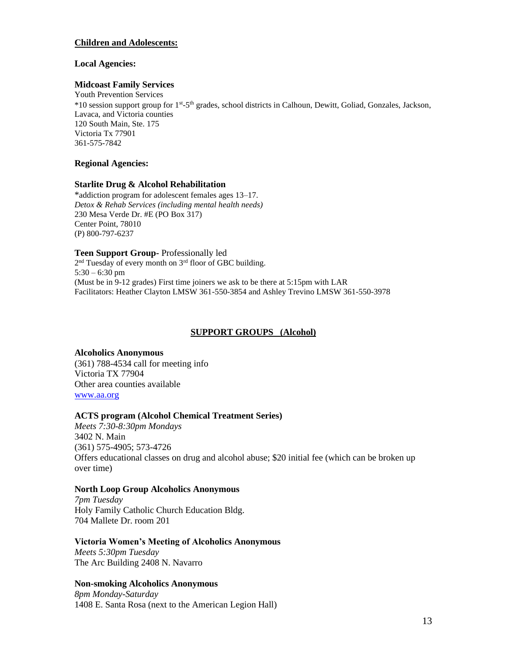## **Children and Adolescents:**

#### **Local Agencies:**

#### **Midcoast Family Services**

Youth Prevention Services \*10 session support group for 1<sup>st</sup>-5<sup>th</sup> grades, school districts in Calhoun, Dewitt, Goliad, Gonzales, Jackson, Lavaca, and Victoria counties 120 South Main, Ste. 175 Victoria Tx 77901 361-575-7842

#### **Regional Agencies:**

#### **Starlite Drug & Alcohol Rehabilitation**

\*addiction program for adolescent females ages 13–17. *Detox & Rehab Services (including mental health needs)* 230 Mesa Verde Dr. #E (PO Box 317) Center Point, 78010 (P) 800-797-6237

**Teen Support Group-** Professionally led

2<sup>nd</sup> Tuesday of every month on 3<sup>rd</sup> floor of GBC building. 5:30 – 6:30 pm (Must be in 9-12 grades) First time joiners we ask to be there at 5:15pm with LAR Facilitators: Heather Clayton LMSW 361-550-3854 and Ashley Trevino LMSW 361-550-3978

## **SUPPORT GROUPS (Alcohol)**

**Alcoholics Anonymous**  (361) 788-4534 call for meeting info Victoria TX 77904 Other area counties available [www.aa.org](http://www.aa.org/)

## **ACTS program (Alcohol Chemical Treatment Series)**

*Meets 7:30-8:30pm Mondays*  3402 N. Main (361) 575-4905; 573-4726 Offers educational classes on drug and alcohol abuse; \$20 initial fee (which can be broken up over time)

#### **North Loop Group Alcoholics Anonymous**

*7pm Tuesday* Holy Family Catholic Church Education Bldg. 704 Mallete Dr. room 201

## **Victoria Women's Meeting of Alcoholics Anonymous**

*Meets 5:30pm Tuesday* The Arc Building 2408 N. Navarro

## **Non-smoking Alcoholics Anonymous**

*8pm Monday-Saturday* 1408 E. Santa Rosa (next to the American Legion Hall)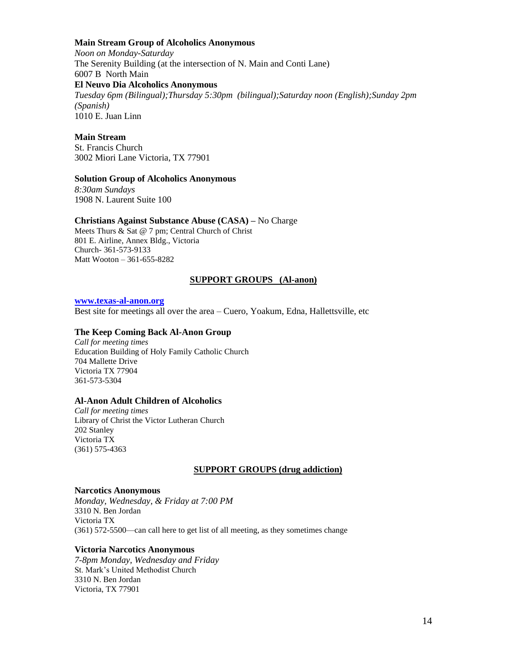#### **Main Stream Group of Alcoholics Anonymous**

*Noon on Monday-Saturday* The Serenity Building (at the intersection of N. Main and Conti Lane) 6007 B North Main **El Neuvo Dia Alcoholics Anonymous**  *Tuesday 6pm (Bilingual);Thursday 5:30pm (bilingual);Saturday noon (English);Sunday 2pm (Spanish)*

1010 E. Juan Linn

# **Main Stream**

St. Francis Church 3002 Miori Lane Victoria, TX 77901

#### **Solution Group of Alcoholics Anonymous**

*8:30am Sundays*  1908 N. Laurent Suite 100

#### **Christians Against Substance Abuse (CASA) –** No Charge

Meets Thurs & Sat @ 7 pm; Central Church of Christ 801 E. Airline, Annex Bldg., Victoria Church- 361-573-9133 Matt Wooton – 361-655-8282

## **SUPPORT GROUPS (Al-anon)**

#### **[www.texas-al-anon.org](http://www.texas-al-anon.org/)**

Best site for meetings all over the area – Cuero, Yoakum, Edna, Hallettsville, etc

#### **The Keep Coming Back Al-Anon Group**

*Call for meeting times* Education Building of Holy Family Catholic Church 704 Mallette Drive Victoria TX 77904 361-573-5304

## **Al-Anon Adult Children of Alcoholics**

*Call for meeting times* Library of Christ the Victor Lutheran Church 202 Stanley Victoria TX (361) 575-4363

#### **SUPPORT GROUPS (drug addiction)**

#### **Narcotics Anonymous**

*Monday, Wednesday, & Friday at 7:00 PM* 3310 N. Ben Jordan Victoria TX (361) 572-5500—can call here to get list of all meeting, as they sometimes change

#### **Victoria Narcotics Anonymous**

*7-8pm Monday, Wednesday and Friday*  St. Mark's United Methodist Church 3310 N. Ben Jordan Victoria, TX 77901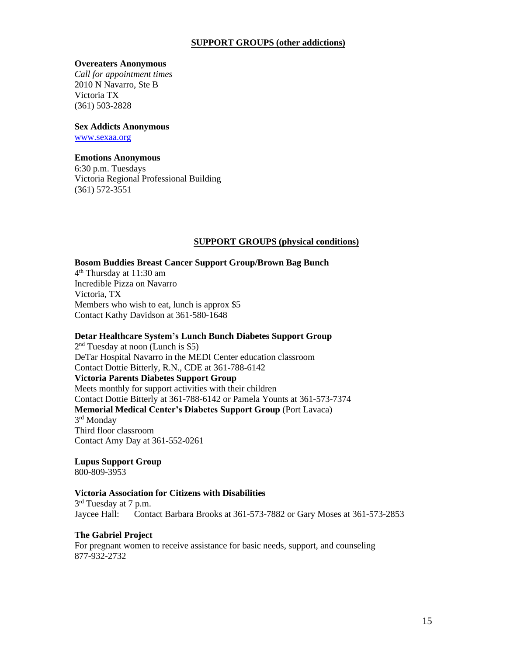## **SUPPORT GROUPS (other addictions)**

#### **Overeaters Anonymous**

*Call for appointment times* 2010 N Navarro, Ste B Victoria TX (361) 503-2828

#### **Sex Addicts Anonymous**

[www.sexaa.org](http://www.sexaa.org/)

## **Emotions Anonymous**

6:30 p.m. Tuesdays Victoria Regional Professional Building (361) 572-3551

# **SUPPORT GROUPS (physical conditions)**

## **Bosom Buddies Breast Cancer Support Group/Brown Bag Bunch**

4 th Thursday at 11:30 am Incredible Pizza on Navarro Victoria, TX Members who wish to eat, lunch is approx \$5 Contact Kathy Davidson at 361-580-1648

#### **Detar Healthcare System's Lunch Bunch Diabetes Support Group**

2<sup>nd</sup> Tuesday at noon (Lunch is \$5) DeTar Hospital Navarro in the MEDI Center education classroom Contact Dottie Bitterly, R.N., CDE at 361-788-6142 **Victoria Parents Diabetes Support Group** Meets monthly for support activities with their children Contact Dottie Bitterly at 361-788-6142 or Pamela Younts at 361-573-7374 **Memorial Medical Center's Diabetes Support Group** (Port Lavaca) 3<sup>rd</sup> Monday Third floor classroom Contact Amy Day at 361-552-0261

**Lupus Support Group** 800-809-3953

#### **Victoria Association for Citizens with Disabilities**

3<sup>rd</sup> Tuesday at 7 p.m. Jaycee Hall: Contact Barbara Brooks at 361-573-7882 or Gary Moses at 361-573-2853

#### **The Gabriel Project**

For pregnant women to receive assistance for basic needs, support, and counseling 877-932-2732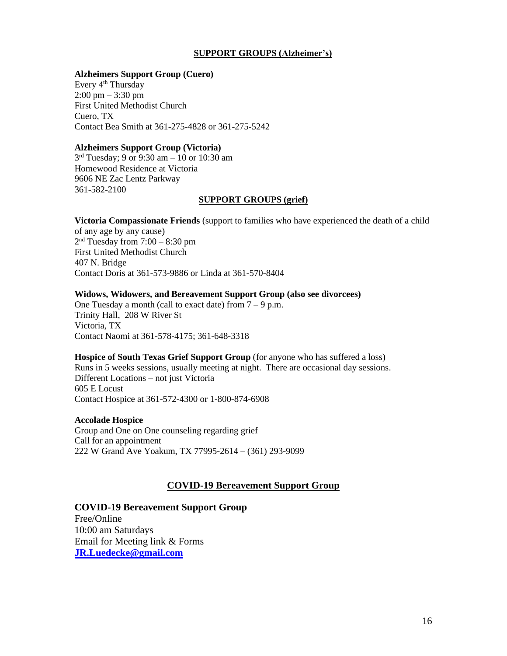## **SUPPORT GROUPS (Alzheimer's)**

## **Alzheimers Support Group (Cuero)**

Every 4<sup>th</sup> Thursday  $2:00 \text{ pm} - 3:30 \text{ pm}$ First United Methodist Church Cuero, TX Contact Bea Smith at 361-275-4828 or 361-275-5242

#### **Alzheimers Support Group (Victoria)**

3 rd Tuesday; 9 or 9:30 am – 10 or 10:30 am Homewood Residence at Victoria 9606 NE Zac Lentz Parkway 361-582-2100

## **SUPPORT GROUPS (grief)**

**Victoria Compassionate Friends** (support to families who have experienced the death of a child of any age by any cause) 2 nd Tuesday from 7:00 – 8:30 pm

First United Methodist Church 407 N. Bridge Contact Doris at 361-573-9886 or Linda at 361-570-8404

## **Widows, Widowers, and Bereavement Support Group (also see divorcees)**

One Tuesday a month (call to exact date) from  $7 - 9$  p.m. Trinity Hall, 208 W River St Victoria, TX Contact Naomi at 361-578-4175; 361-648-3318

**Hospice of South Texas Grief Support Group** (for anyone who has suffered a loss) Runs in 5 weeks sessions, usually meeting at night. There are occasional day sessions. Different Locations – not just Victoria 605 E Locust Contact Hospice at 361-572-4300 or 1-800-874-6908

## **Accolade Hospice**

Group and One on One counseling regarding grief Call for an appointment 222 W Grand Ave Yoakum, TX 77995-2614 – (361) 293-9099

# **COVID-19 Bereavement Support Group**

**COVID-19 Bereavement Support Group** Free/Online 10:00 am Saturdays Email for Meeting link & Forms **[JR.Luedecke@gmail.com](mailto:JR.Luedecke@gmail.com)**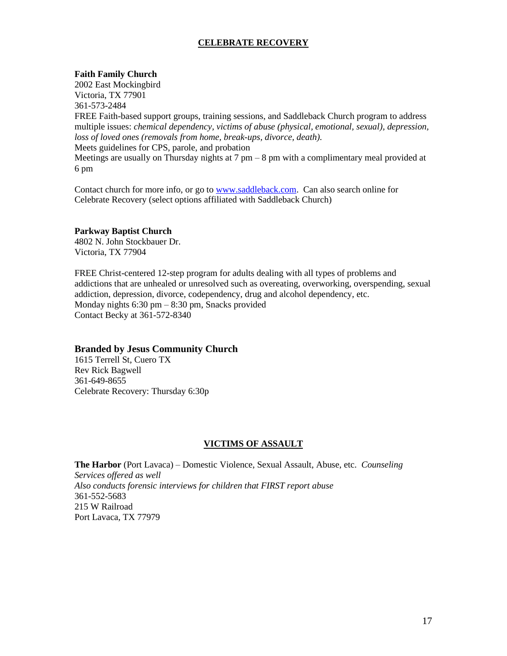# **CELEBRATE RECOVERY**

#### **Faith Family Church**

2002 East Mockingbird Victoria, TX 77901 361-573-2484 FREE Faith-based support groups, training sessions, and Saddleback Church program to address multiple issues: *chemical dependency, victims of abuse (physical, emotional, sexual), depression, loss of loved ones (removals from home, break-ups, divorce, death).* Meets guidelines for CPS, parole, and probation Meetings are usually on Thursday nights at  $7 \text{ pm} - 8 \text{ pm}$  with a complimentary meal provided at 6 pm

Contact church for more info, or go to [www.saddleback.com.](http://www.saddleback.com/) Can also search online for Celebrate Recovery (select options affiliated with Saddleback Church)

#### **Parkway Baptist Church**

4802 N. John Stockbauer Dr. Victoria, TX 77904

FREE Christ-centered 12-step program for adults dealing with all types of problems and addictions that are unhealed or unresolved such as overeating, overworking, overspending, sexual addiction, depression, divorce, codependency, drug and alcohol dependency, etc. Monday nights 6:30 pm – 8:30 pm, Snacks provided Contact Becky at 361-572-8340

## **Branded by Jesus Community Church**

1615 Terrell St, Cuero TX Rev Rick Bagwell 361-649-8655 Celebrate Recovery: Thursday 6:30p

#### **VICTIMS OF ASSAULT**

**The Harbor** (Port Lavaca) – Domestic Violence, Sexual Assault, Abuse, etc. *Counseling Services offered as well Also conducts forensic interviews for children that FIRST report abuse* 361-552-5683 215 W Railroad Port Lavaca, TX 77979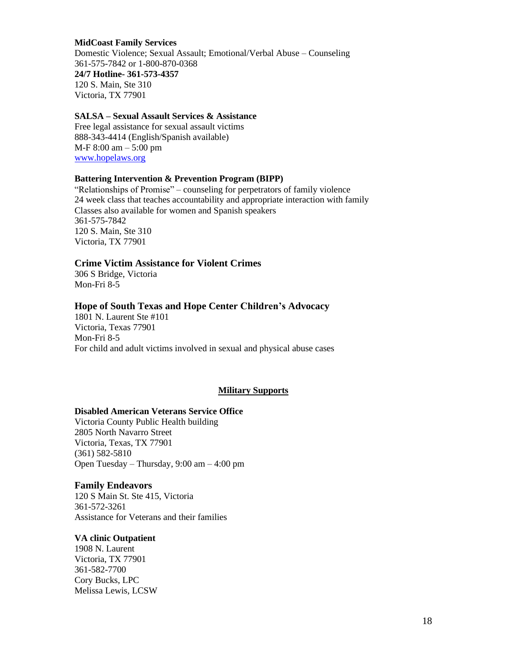#### **MidCoast Family Services**

Domestic Violence; Sexual Assault; Emotional/Verbal Abuse – Counseling 361-575-7842 or 1-800-870-0368 **24/7 Hotline- 361-573-4357** 120 S. Main, Ste 310 Victoria, TX 77901

#### **SALSA – Sexual Assault Services & Assistance**

Free legal assistance for sexual assault victims 888-343-4414 (English/Spanish available) M-F 8:00 am – 5:00 pm [www.hopelaws.org](http://www.hopelaws.org/)

#### **Battering Intervention & Prevention Program (BIPP)**

"Relationships of Promise" – counseling for perpetrators of family violence 24 week class that teaches accountability and appropriate interaction with family Classes also available for women and Spanish speakers 361-575-7842 120 S. Main, Ste 310 Victoria, TX 77901

#### **Crime Victim Assistance for Violent Crimes**

306 S Bridge, Victoria Mon-Fri 8-5

#### **Hope of South Texas and Hope Center Children's Advocacy**

1801 N. Laurent Ste #101 Victoria, Texas 77901 Mon-Fri 8-5 For child and adult victims involved in sexual and physical abuse cases

#### **Military Supports**

## **Disabled American Veterans Service Office**

Victoria County Public Health building [2805 North Navarro Street](http://share.here.com/r/mylocation/e-eyJuYW1lIjoiVmljdG9yaWEgQ291bnR5IFB1YmxpYyBIZWFsdGggRGVwYXJ0bWVudCIsImFkZHJlc3MiOiIyODA1IE5vcnRoIE5hdmFycm8gU3RyZWV0LCBWaWN0b3JpYSwgVGV4YXMiLCJsYXRpdHVkZSI6MjguODIxNDEsImxvbmdpdHVkZSI6LTk3LjAwMTcyLCJwcm92aWRlck5hbWUiOiJmYWNlYm9vayIsInByb3ZpZGVySWQiOjEwNzY5NzEwNjMwNDA5M30=?link=addresses&fb_locale=en_US&ref=facebook) [Victoria, Texas, TX 77901](http://share.here.com/r/mylocation/e-eyJuYW1lIjoiVmljdG9yaWEgQ291bnR5IFB1YmxpYyBIZWFsdGggRGVwYXJ0bWVudCIsImFkZHJlc3MiOiIyODA1IE5vcnRoIE5hdmFycm8gU3RyZWV0LCBWaWN0b3JpYSwgVGV4YXMiLCJsYXRpdHVkZSI6MjguODIxNDEsImxvbmdpdHVkZSI6LTk3LjAwMTcyLCJwcm92aWRlck5hbWUiOiJmYWNlYm9vayIsInByb3ZpZGVySWQiOjEwNzY5NzEwNjMwNDA5M30=?link=addresses&fb_locale=en_US&ref=facebook) (361) 582-5810 Open Tuesday – Thursday, 9:00 am – 4:00 pm

#### **Family Endeavors**

120 S Main St. Ste 415, Victoria 361-572-3261 Assistance for Veterans and their families

#### **VA clinic Outpatient**

1908 N. Laurent Victoria, TX 77901 361-582-7700 Cory Bucks, LPC Melissa Lewis, LCSW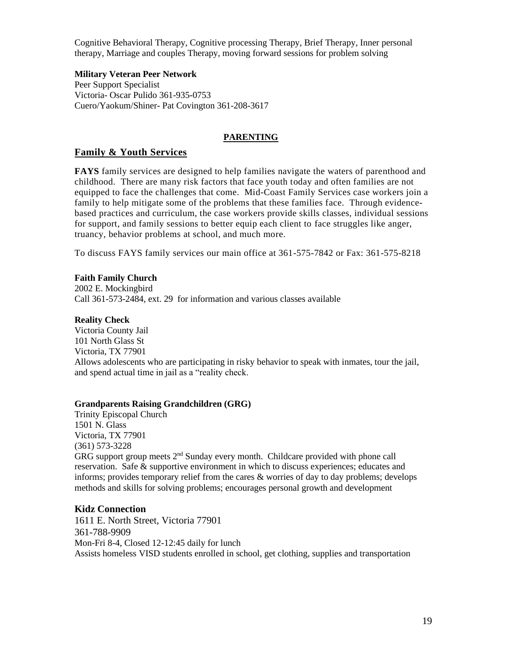Cognitive Behavioral Therapy, Cognitive processing Therapy, Brief Therapy, Inner personal therapy, Marriage and couples Therapy, moving forward sessions for problem solving

## **Military Veteran Peer Network**

Peer Support Specialist Victoria- Oscar Pulido 361-935-0753 Cuero/Yaokum/Shiner- Pat Covington 361-208-3617

# **PARENTING**

# **Family & Youth Services**

**FAYS** family services are designed to help families navigate the waters of parenthood and childhood. There are many risk factors that face youth today and often families are not equipped to face the challenges that come. Mid-Coast Family Services case workers join a family to help mitigate some of the problems that these families face. Through evidencebased practices and curriculum, the case workers provide skills classes, individual sessions for support, and family sessions to better equip each client to face struggles like anger, truancy, behavior problems at school, and much more.

To discuss FAYS family services our main office at 361-575-7842 or Fax: 361-575-8218

# **Faith Family Church**

2002 E. Mockingbird Call 361-573-2484, ext. 29 for information and various classes available

## **Reality Check**

Victoria County Jail 101 North Glass St Victoria, TX 77901 Allows adolescents who are participating in risky behavior to speak with inmates, tour the jail, and spend actual time in jail as a "reality check.

## **Grandparents Raising Grandchildren (GRG)**

Trinity Episcopal Church 1501 N. Glass Victoria, TX 77901 (361) 573-3228 GRG support group meets 2<sup>nd</sup> Sunday every month. Childcare provided with phone call reservation. Safe & supportive environment in which to discuss experiences; educates and informs; provides temporary relief from the cares & worries of day to day problems; develops methods and skills for solving problems; encourages personal growth and development

## **Kidz Connection**

1611 E. North Street, Victoria 77901 361-788-9909 Mon-Fri 8-4, Closed 12-12:45 daily for lunch Assists homeless VISD students enrolled in school, get clothing, supplies and transportation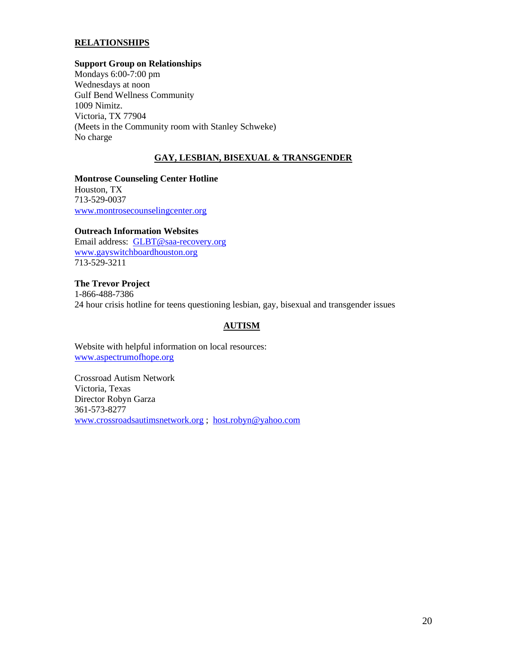# **RELATIONSHIPS**

#### **Support Group on Relationships**

Mondays 6:00-7:00 pm Wednesdays at noon Gulf Bend Wellness Community 1009 Nimitz. Victoria, TX 77904 (Meets in the Community room with Stanley Schweke) No charge

## **GAY, LESBIAN, BISEXUAL & TRANSGENDER**

**Montrose Counseling Center Hotline** Houston, TX 713-529-0037 [www.montrosecounselingcenter.org](http://www.montrosecounselingcenter.org/)

## **Outreach Information Websites**

Email address: [GLBT@saa-recovery.org](mailto:GLBT@saa-recovery.org) [www.gayswitchboardhouston.org](http://www.gayswitchboardhouston.org/) 713-529-3211

**The Trevor Project** 1-866-488-7386 24 hour crisis hotline for teens questioning lesbian, gay, bisexual and transgender issues

## **AUTISM**

Website with helpful information on local resources: [www.aspectrumofhope.org](http://www.aspectrumofhope.org/)

Crossroad Autism Network Victoria, Texas Director Robyn Garza 361-573-8277 [www.crossroadsautimsnetwork.org](http://www.crossroadsautimsnetwork.org/) ; [host.robyn@yahoo.com](mailto:host.robyn@yahoo.com)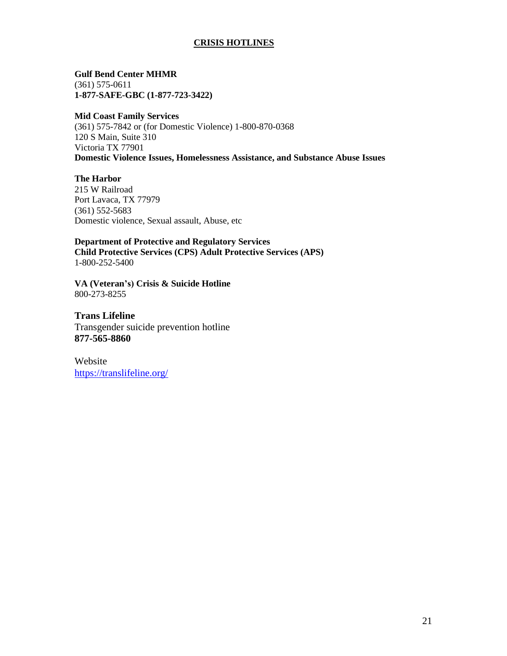# **CRISIS HOTLINES**

**Gulf Bend Center MHMR** (361) 575-0611 **1-877-SAFE-GBC (1-877-723-3422)**

#### **Mid Coast Family Services**

(361) 575-7842 or (for Domestic Violence) 1-800-870-0368 120 S Main, Suite 310 Victoria TX 77901 **Domestic Violence Issues, Homelessness Assistance, and Substance Abuse Issues**

**The Harbor** 215 W Railroad Port Lavaca, TX 77979 (361) 552-5683 Domestic violence, Sexual assault, Abuse, etc

**Department of Protective and Regulatory Services Child Protective Services (CPS) Adult Protective Services (APS)** 1-800-252-5400

**VA (Veteran's) Crisis & Suicide Hotline** 800-273-8255

**Trans Lifeline**  Transgender suicide prevention hotline **877-565-8860**

Website <https://translifeline.org/>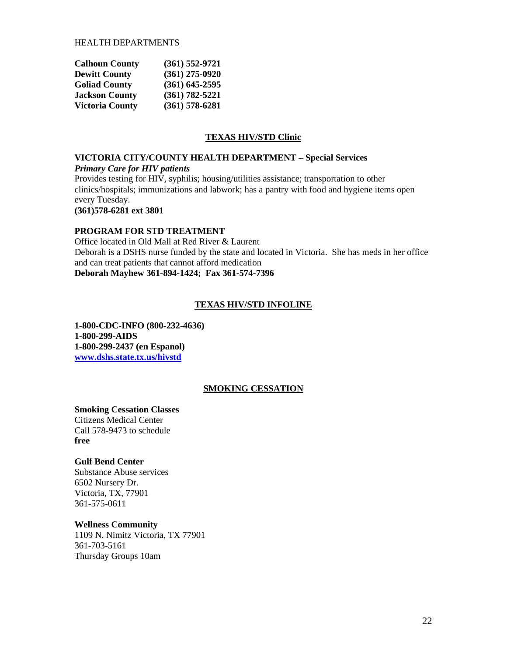## HEALTH DEPARTMENTS

| <b>Calhoun County</b>  | $(361)$ 552-9721   |
|------------------------|--------------------|
| <b>Dewitt County</b>   | $(361)$ 275-0920   |
| <b>Goliad County</b>   | $(361)$ 645-2595   |
| <b>Jackson County</b>  | $(361) 782 - 5221$ |
| <b>Victoria County</b> | $(361)$ 578-6281   |

# **TEXAS HIV/STD Clinic**

#### **VICTORIA CITY/COUNTY HEALTH DEPARTMENT – Special Services** *Primary Care for HIV patients*

Provides testing for HIV, syphilis; housing/utilities assistance; transportation to other clinics/hospitals; immunizations and labwork; has a pantry with food and hygiene items open every Tuesday.

**(361)578-6281 ext 3801**

## **PROGRAM FOR STD TREATMENT**

Office located in Old Mall at Red River & Laurent Deborah is a DSHS nurse funded by the state and located in Victoria. She has meds in her office and can treat patients that cannot afford medication **Deborah Mayhew 361-894-1424; Fax 361-574-7396**

## **TEXAS HIV/STD INFOLINE**

**1-800-CDC-INFO (800-232-4636) 1-800-299-AIDS 1-800-299-2437 (en Espanol) [www.dshs.state.tx.us/hivstd](http://www.dshs.state.tx.us/hivstd)**

#### **SMOKING CESSATION**

#### **Smoking Cessation Classes**

Citizens Medical Center Call 578-9473 to schedule **free**

#### **Gulf Bend Center**

Substance Abuse services 6502 Nursery Dr. Victoria, TX, 77901 361-575-0611

#### **Wellness Community**

1109 N. Nimitz Victoria, TX 77901 361-703-5161 Thursday Groups 10am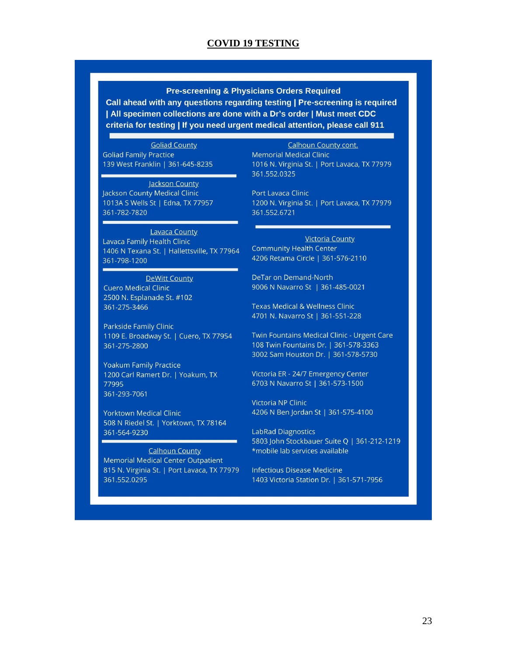# **COVID 19 TESTING**

## **Pre-screening & Physicians Orders Required**

Call ahead with any questions regarding testing | Pre-screening is required | All specimen collections are done with a Dr's order | Must meet CDC criteria for testing | If you need urgent medical attention, please call 911

**Goliad County** 

**Goliad Family Practice** 139 West Franklin | 361-645-8235

Jackson County

Jackson County Medical Clinic 1013A S Wells St | Edna, TX 77957 361-782-7820

#### **Lavaca County**

Lavaca Family Health Clinic 1406 N Texana St. | Hallettsville, TX 77964 361-798-1200

#### **DeWitt County**

**Cuero Medical Clinic** 2500 N. Esplanade St. #102 361-275-3466

Parkside Family Clinic 1109 E. Broadway St. | Cuero, TX 77954 361-275-2800

**Yoakum Family Practice** 1200 Carl Ramert Dr. | Yoakum, TX 77995 361-293-7061

**Yorktown Medical Clinic** 508 N Riedel St. | Yorktown, TX 78164 361-564-9230

**Calhoun County Memorial Medical Center Outpatient** 815 N. Virginia St. | Port Lavaca, TX 77979 361.552.0295

**Calhoun County cont. Memorial Medical Clinic** 1016 N. Virginia St. | Port Lavaca, TX 77979 361.552.0325

Port Lavaca Clinic 1200 N. Virginia St. | Port Lavaca, TX 77979 361.552.6721

Victoria County **Community Health Center** 4206 Retama Circle | 361-576-2110

DeTar on Demand-North 9006 N Navarro St | 361-485-0021

**Texas Medical & Wellness Clinic** 4701 N. Navarro St | 361-551-228

Twin Fountains Medical Clinic - Urgent Care 108 Twin Fountains Dr. | 361-578-3363 3002 Sam Houston Dr. | 361-578-5730

Victoria ER - 24/7 Emergency Center 6703 N Navarro St | 361-573-1500

**Victoria NP Clinic** 4206 N Ben Jordan St | 361-575-4100

**LabRad Diagnostics** 5803 John Stockbauer Suite Q | 361-212-1219 \*mobile lab services available

Infectious Disease Medicine 1403 Victoria Station Dr. | 361-571-7956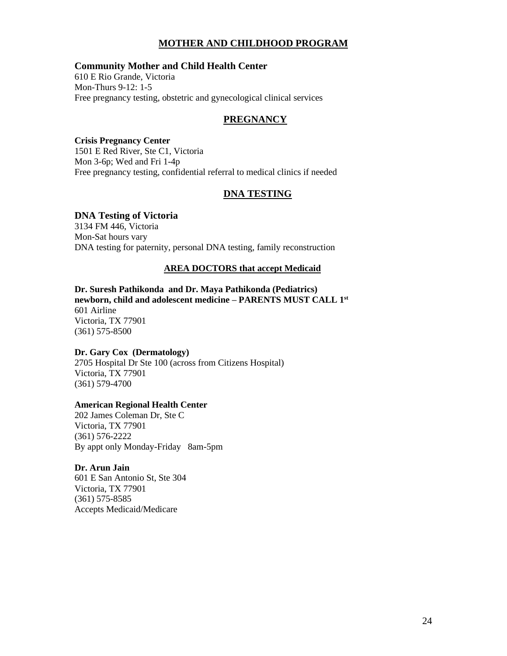# **MOTHER AND CHILDHOOD PROGRAM**

## **Community Mother and Child Health Center**

610 E Rio Grande, Victoria Mon-Thurs 9-12: 1-5 Free pregnancy testing, obstetric and gynecological clinical services

## **PREGNANCY**

#### **Crisis Pregnancy Center**

1501 E Red River, Ste C1, Victoria Mon 3-6p; Wed and Fri 1-4p Free pregnancy testing, confidential referral to medical clinics if needed

# **DNA TESTING**

#### **DNA Testing of Victoria**

3134 FM 446, Victoria Mon-Sat hours vary DNA testing for paternity, personal DNA testing, family reconstruction

#### **AREA DOCTORS that accept Medicaid**

**Dr. Suresh Pathikonda and Dr. Maya Pathikonda (Pediatrics) newborn, child and adolescent medicine – PARENTS MUST CALL 1st** 601 Airline Victoria, TX 77901 (361) 575-8500

#### **Dr. Gary Cox (Dermatology)**

2705 Hospital Dr Ste 100 (across from Citizens Hospital) Victoria, TX 77901 (361) 579-4700

#### **American Regional Health Center**

202 James Coleman Dr, Ste C Victoria, TX 77901 (361) 576-2222 By appt only Monday-Friday 8am-5pm

#### **Dr. Arun Jain**

601 E San Antonio St, Ste 304 Victoria, TX 77901 (361) 575-8585 Accepts Medicaid/Medicare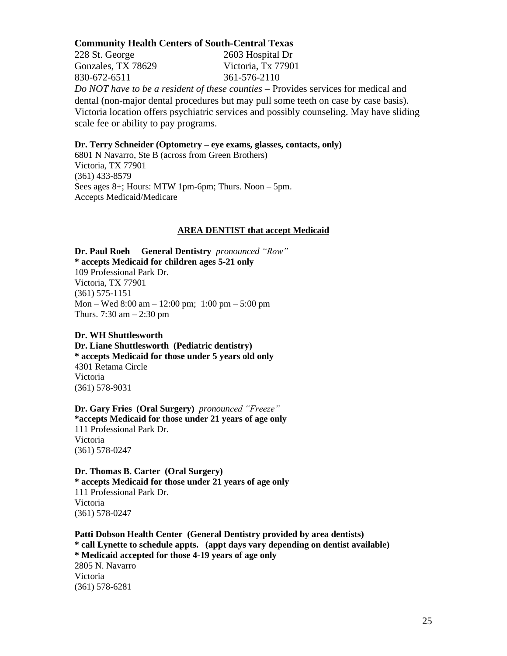#### **Community Health Centers of South-Central Texas**

228 St. George 2603 Hospital Dr Gonzales, TX 78629 Victoria, Tx 77901 830-672-6511 361-576-2110 *Do NOT have to be a resident of these counties* – Provides services for medical and dental (non-major dental procedures but may pull some teeth on case by case basis). Victoria location offers psychiatric services and possibly counseling. May have sliding scale fee or ability to pay programs.

#### **Dr. Terry Schneider (Optometry – eye exams, glasses, contacts, only)**

6801 N Navarro, Ste B (across from Green Brothers) Victoria, TX 77901 (361) 433-8579 Sees ages 8+; Hours: MTW 1pm-6pm; Thurs. Noon – 5pm. Accepts Medicaid/Medicare

#### **AREA DENTIST that accept Medicaid**

**Dr. Paul Roeh General Dentistry** *pronounced "Row"* **\* accepts Medicaid for children ages 5-21 only**  109 Professional Park Dr. Victoria, TX 77901 (361) 575-1151 Mon – Wed 8:00 am – 12:00 pm; 1:00 pm – 5:00 pm Thurs. 7:30 am – 2:30 pm

**Dr. WH Shuttlesworth Dr. Liane Shuttlesworth (Pediatric dentistry) \* accepts Medicaid for those under 5 years old only**  4301 Retama Circle Victoria (361) 578-9031

**Dr. Gary Fries (Oral Surgery)** *pronounced "Freeze"* **\*accepts Medicaid for those under 21 years of age only**  111 Professional Park Dr. Victoria (361) 578-0247

**Dr. Thomas B. Carter (Oral Surgery) \* accepts Medicaid for those under 21 years of age only**  111 Professional Park Dr. Victoria (361) 578-0247

**Patti Dobson Health Center (General Dentistry provided by area dentists) \* call Lynette to schedule appts. (appt days vary depending on dentist available) \* Medicaid accepted for those 4-19 years of age only**  2805 N. Navarro Victoria (361) 578-6281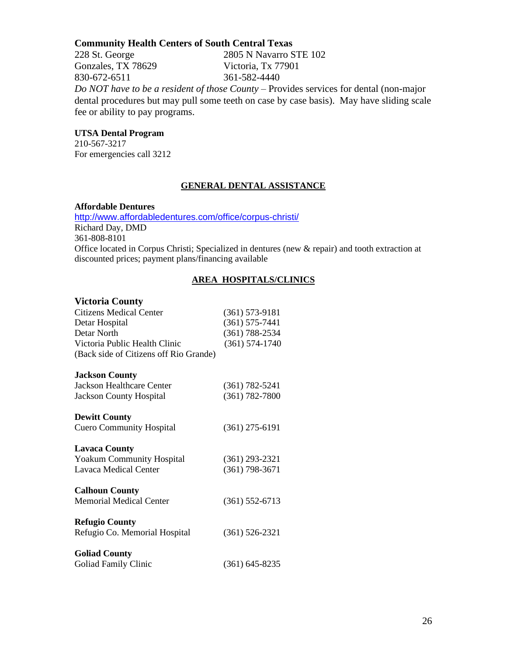# **Community Health Centers of South Central Texas**

228 St. George 2805 N Navarro STE 102 Gonzales, TX 78629 Victoria, Tx 77901 830-672-6511 361-582-4440 *Do NOT have to be a resident of those County* – Provides services for dental (non-major dental procedures but may pull some teeth on case by case basis). May have sliding scale fee or ability to pay programs.

# **UTSA Dental Program**

210-567-3217 For emergencies call 3212

## **GENERAL DENTAL ASSISTANCE**

#### **Affordable Dentures**

<http://www.affordabledentures.com/office/corpus-christi/> Richard Day, DMD 361-808-8101 Office located in Corpus Christi; Specialized in dentures (new & repair) and tooth extraction at discounted prices; payment plans/financing available

# **AREA HOSPITALS/CLINICS**

#### **Victoria County**

| $(361) 573 - 9181$ |
|--------------------|
| $(361) 575 - 7441$ |
| $(361) 788 - 2534$ |
| $(361) 574 - 1740$ |
|                    |
|                    |
| $(361) 782 - 5241$ |
| $(361) 782 - 7800$ |
|                    |
| $(361)$ 275-6191   |
|                    |
| $(361)$ 293-2321   |
| $(361)$ 798-3671   |
|                    |
| $(361) 552 - 6713$ |
|                    |
| $(361) 526 - 2321$ |
|                    |
| $(361) 645 - 8235$ |
|                    |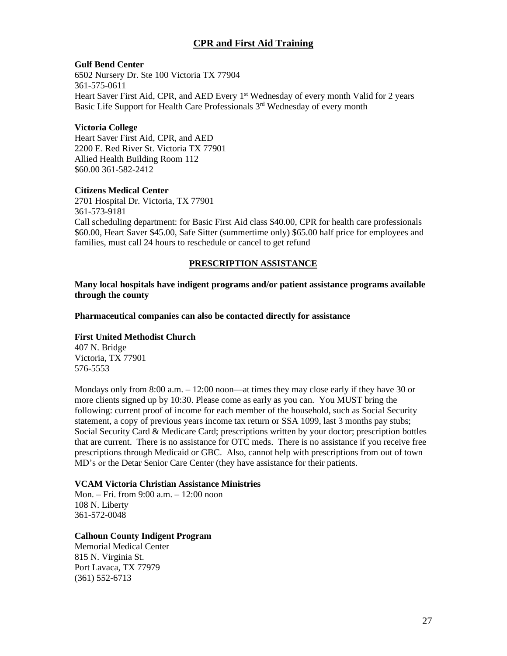# **CPR and First Aid Training**

## **Gulf Bend Center**

6502 Nursery Dr. Ste 100 Victoria TX 77904 361-575-0611 Heart Saver First Aid, CPR, and AED Every 1<sup>st</sup> Wednesday of every month Valid for 2 years Basic Life Support for Health Care Professionals 3<sup>rd</sup> Wednesday of every month

## **Victoria College**

Heart Saver First Aid, CPR, and AED 2200 E. Red River St. Victoria TX 77901 Allied Health Building Room 112 \$60.00 361-582-2412

## **Citizens Medical Center**

2701 Hospital Dr. Victoria, TX 77901 361-573-9181 Call scheduling department: for Basic First Aid class \$40.00, CPR for health care professionals \$60.00, Heart Saver \$45.00, Safe Sitter (summertime only) \$65.00 half price for employees and families, must call 24 hours to reschedule or cancel to get refund

## **PRESCRIPTION ASSISTANCE**

**Many local hospitals have indigent programs and/or patient assistance programs available through the county**

**Pharmaceutical companies can also be contacted directly for assistance**

## **First United Methodist Church**

407 N. Bridge Victoria, TX 77901 576-5553

Mondays only from 8:00 a.m. – 12:00 noon—at times they may close early if they have 30 or more clients signed up by 10:30. Please come as early as you can. You MUST bring the following: current proof of income for each member of the household, such as Social Security statement, a copy of previous years income tax return or SSA 1099, last 3 months pay stubs; Social Security Card & Medicare Card; prescriptions written by your doctor; prescription bottles that are current. There is no assistance for OTC meds. There is no assistance if you receive free prescriptions through Medicaid or GBC. Also, cannot help with prescriptions from out of town MD's or the Detar Senior Care Center (they have assistance for their patients.

## **VCAM Victoria Christian Assistance Ministries**

Mon. – Fri. from 9:00 a.m. – 12:00 noon 108 N. Liberty 361-572-0048

## **Calhoun County Indigent Program**

Memorial Medical Center 815 N. Virginia St. Port Lavaca, TX 77979 (361) 552-6713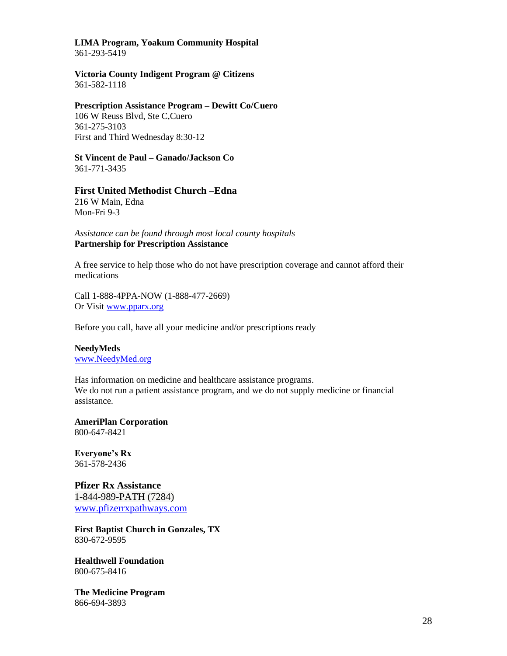# **LIMA Program, Yoakum Community Hospital**

361-293-5419

#### **Victoria County Indigent Program @ Citizens**  361-582-1118

# **Prescription Assistance Program – Dewitt Co/Cuero** 106 W Reuss Blvd, Ste C,Cuero

361-275-3103 First and Third Wednesday 8:30-12

# **St Vincent de Paul – Ganado/Jackson Co**

361-771-3435

# **First United Methodist Church –Edna**

216 W Main, Edna Mon-Fri 9-3

## *Assistance can be found through most local county hospitals* **Partnership for Prescription Assistance**

A free service to help those who do not have prescription coverage and cannot afford their medications

Call 1-888-4PPA-NOW (1-888-477-2669) Or Visit [www.pparx.org](http://www.pparx.org/)

Before you call, have all your medicine and/or prescriptions ready

## **NeedyMeds** [www.NeedyMed.org](http://www.needymed.org/)

Has information on medicine and healthcare assistance programs. We do not run a patient assistance program, and we do not supply medicine or financial assistance.

#### **AmeriPlan Corporation** 800-647-8421

**Everyone's Rx** 361-578-2436

# **Pfizer Rx Assistance** 1-844-989-PATH (7284) [www.pfizerrxpathways.com](http://www.pfizerrxpathways.com/)

**First Baptist Church in Gonzales, TX** 830-672-9595

**Healthwell Foundation** 800-675-8416

**The Medicine Program** 866-694-3893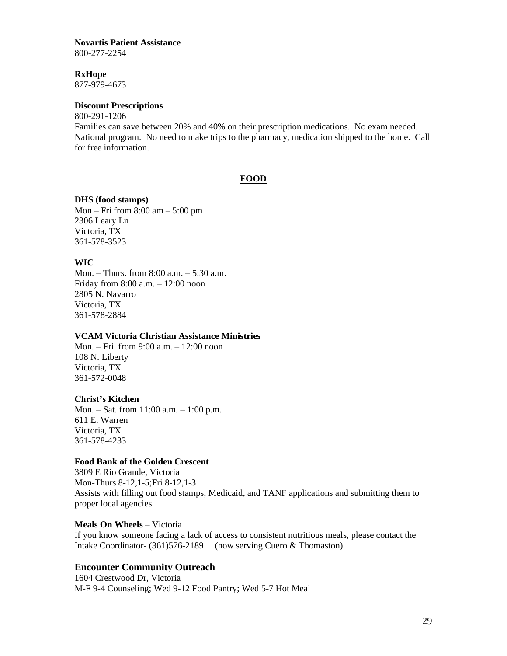# **Novartis Patient Assistance**

800-277-2254

#### **RxHope**

877-979-4673

# **Discount Prescriptions**

800-291-1206

Families can save between 20% and 40% on their prescription medications. No exam needed. National program. No need to make trips to the pharmacy, medication shipped to the home. Call for free information.

## **FOOD**

## **DHS (food stamps)**

Mon – Fri from 8:00 am – 5:00 pm 2306 Leary Ln Victoria, TX 361-578-3523

# **WIC**

Mon. – Thurs. from 8:00 a.m. – 5:30 a.m. Friday from 8:00 a.m. – 12:00 noon 2805 N. Navarro Victoria, TX 361-578-2884

## **VCAM Victoria Christian Assistance Ministries**

Mon. – Fri. from 9:00 a.m. – 12:00 noon 108 N. Liberty Victoria, TX 361-572-0048

## **Christ's Kitchen**

Mon. – Sat. from 11:00 a.m. – 1:00 p.m. 611 E. Warren Victoria, TX 361-578-4233

## **Food Bank of the Golden Crescent**

3809 E Rio Grande, Victoria Mon-Thurs 8-12,1-5;Fri 8-12,1-3 Assists with filling out food stamps, Medicaid, and TANF applications and submitting them to proper local agencies

## **Meals On Wheels** – Victoria

If you know someone facing a lack of access to consistent nutritious meals, please contact the Intake Coordinator- (361)576-2189 (now serving Cuero & Thomaston)

# **Encounter Community Outreach**

1604 Crestwood Dr, Victoria M-F 9-4 Counseling; Wed 9-12 Food Pantry; Wed 5-7 Hot Meal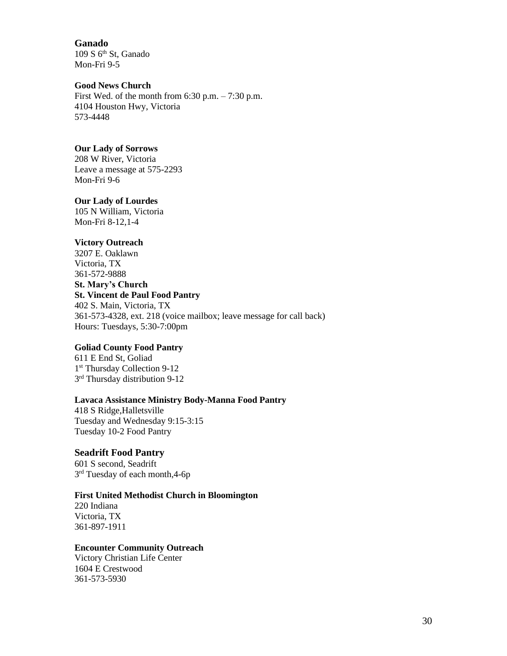**Ganado** 109 S 6<sup>th</sup> St, Ganado Mon-Fri 9-5

#### **Good News Church**

First Wed. of the month from  $6:30$  p.m.  $-7:30$  p.m. 4104 Houston Hwy, Victoria 573-4448

## **Our Lady of Sorrows**

208 W River, Victoria Leave a message at 575-2293 Mon-Fri 9-6

## **Our Lady of Lourdes**

105 N William, Victoria Mon-Fri 8-12,1-4

# **Victory Outreach**

3207 E. Oaklawn Victoria, TX 361-572-9888 **St. Mary's Church St. Vincent de Paul Food Pantry** 402 S. Main, Victoria, TX 361-573-4328, ext. 218 (voice mailbox; leave message for call back)

Hours: Tuesdays, 5:30-7:00pm

# **Goliad County Food Pantry**

611 E End St, Goliad 1 st Thursday Collection 9-12 3<sup>rd</sup> Thursday distribution 9-12

## **Lavaca Assistance Ministry Body-Manna Food Pantry**

418 S Ridge,Halletsville Tuesday and Wednesday 9:15-3:15 Tuesday 10-2 Food Pantry

# **Seadrift Food Pantry**

601 S second, Seadrift 3<sup>rd</sup> Tuesday of each month, 4-6p

## **First United Methodist Church in Bloomington**

220 Indiana Victoria, TX 361-897-1911

# **Encounter Community Outreach**

Victory Christian Life Center 1604 E Crestwood 361-573-5930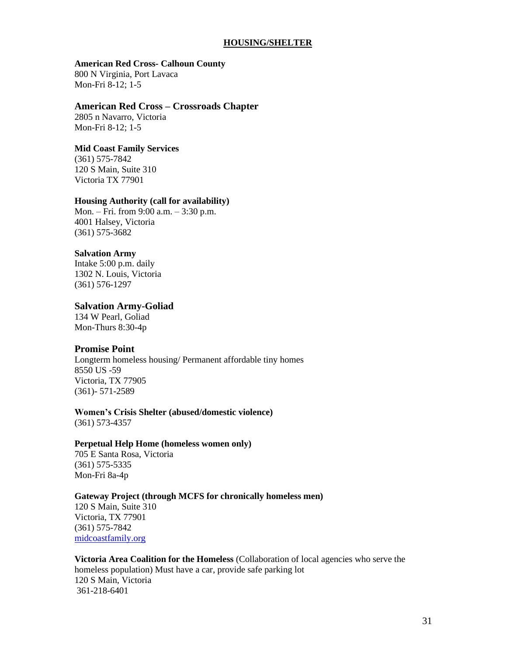#### **HOUSING/SHELTER**

#### **American Red Cross- Calhoun County**

800 N Virginia, Port Lavaca Mon-Fri 8-12; 1-5

#### **American Red Cross – Crossroads Chapter**

2805 n Navarro, Victoria Mon-Fri 8-12; 1-5

#### **Mid Coast Family Services**

(361) 575-7842 120 S Main, Suite 310 Victoria TX 77901

## **Housing Authority (call for availability)**

Mon. – Fri. from 9:00 a.m. – 3:30 p.m. 4001 Halsey, Victoria (361) 575-3682

## **Salvation Army**

Intake 5:00 p.m. daily 1302 N. Louis, Victoria (361) 576-1297

## **Salvation Army-Goliad**

134 W Pearl, Goliad Mon-Thurs 8:30-4p

## **Promise Point**

Longterm homeless housing/ Permanent affordable tiny homes 8550 US -59 Victoria, TX 77905 (361)- 571-2589

#### **Women's Crisis Shelter (abused/domestic violence)** (361) 573-4357

#### **Perpetual Help Home (homeless women only)**

705 E Santa Rosa, Victoria (361) 575-5335 Mon-Fri 8a-4p

## **Gateway Project (through MCFS for chronically homeless men)**

120 S Main, Suite 310 Victoria, TX 77901 (361) 575-7842 [midcoastfamily.org](http://maps.google.com/local_url?q=http://www.midcoastfamily.org/&dq=substance+abuse+treatment+victoria+tx&f=q&source=s_q&sll=28.828051,-96.989502&view=text&hl=en&gl=us&ie=UTF8&sspn=0.029597,0.023543&latlng=28809932,-96991281,13569514736763357847&ei=V-uBSfz9G4LkiwPOmoDICw&cd=1&oi=miwd&sa=X&ct=miw_link&cad=homepage&s=ANYYN7lQxfqXaZ5rGxtBJwCmY5yFKCMouQ)

**Victoria Area Coalition for the Homeless** (Collaboration of local agencies who serve the homeless population) Must have a car, provide safe parking lot 120 S Main, Victoria 361-218-6401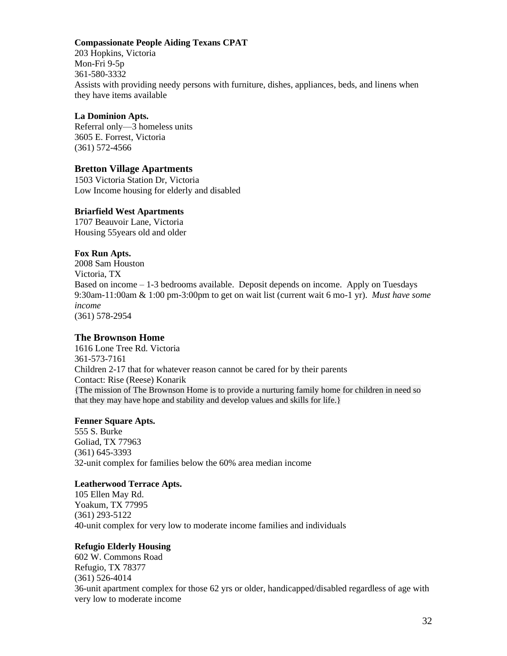#### **Compassionate People Aiding Texans CPAT**

203 Hopkins, Victoria Mon-Fri 9-5p 361-580-3332 Assists with providing needy persons with furniture, dishes, appliances, beds, and linens when they have items available

#### **La Dominion Apts.**

Referral only—3 homeless units 3605 E. Forrest, Victoria (361) 572-4566

## **Bretton Village Apartments**

1503 Victoria Station Dr, Victoria Low Income housing for elderly and disabled

#### **Briarfield West Apartments**

1707 Beauvoir Lane, Victoria Housing 55years old and older

#### **Fox Run Apts.**

2008 Sam Houston Victoria, TX Based on income – 1-3 bedrooms available. Deposit depends on income. Apply on Tuesdays 9:30am-11:00am & 1:00 pm-3:00pm to get on wait list (current wait 6 mo-1 yr). *Must have some income*  (361) 578-2954

## **The Brownson Home**

1616 Lone Tree Rd. Victoria 361-573-7161 Children 2-17 that for whatever reason cannot be cared for by their parents Contact: Rise (Reese) Konarik {The mission of The Brownson Home is to provide a nurturing family home for children in need so that they may have hope and stability and develop values and skills for life.}

#### **Fenner Square Apts.**

555 S. Burke Goliad, TX 77963 (361) 645-3393 32-unit complex for families below the 60% area median income

## **Leatherwood Terrace Apts.**

105 Ellen May Rd. Yoakum, TX 77995 (361) 293-5122 40-unit complex for very low to moderate income families and individuals

#### **Refugio Elderly Housing**

602 W. Commons Road Refugio, TX 78377 (361) 526-4014 36-unit apartment complex for those 62 yrs or older, handicapped/disabled regardless of age with very low to moderate income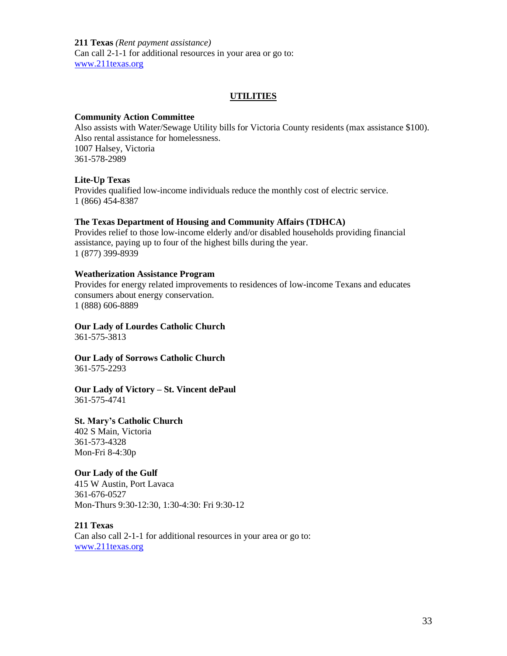**211 Texas** *(Rent payment assistance)* Can call 2-1-1 for additional resources in your area or go to: [www.211texas.org](http://www.211texas.org/)

#### **UTILITIES**

#### **Community Action Committee**

Also assists with Water/Sewage Utility bills for Victoria County residents (max assistance \$100). Also rental assistance for homelessness. 1007 Halsey, Victoria 361-578-2989

#### **Lite-Up Texas**

Provides qualified low-income individuals reduce the monthly cost of electric service. 1 (866) 454-8387

#### **The Texas Department of Housing and Community Affairs (TDHCA)**

Provides relief to those low-income elderly and/or disabled households providing financial assistance, paying up to four of the highest bills during the year. 1 (877) 399-8939

#### **Weatherization Assistance Program**

Provides for energy related improvements to residences of low-income Texans and educates consumers about energy conservation. 1 (888) 606-8889

# **Our Lady of Lourdes Catholic Church**

361-575-3813

**Our Lady of Sorrows Catholic Church** 361-575-2293

#### **Our Lady of Victory – St. Vincent dePaul** 361-575-4741

#### **St. Mary's Catholic Church**

402 S Main, Victoria 361-573-4328 Mon-Fri 8-4:30p

# **Our Lady of the Gulf**

415 W Austin, Port Lavaca 361-676-0527 Mon-Thurs 9:30-12:30, 1:30-4:30: Fri 9:30-12

#### **211 Texas**

Can also call 2-1-1 for additional resources in your area or go to: [www.211texas.org](http://www.211texas.org/)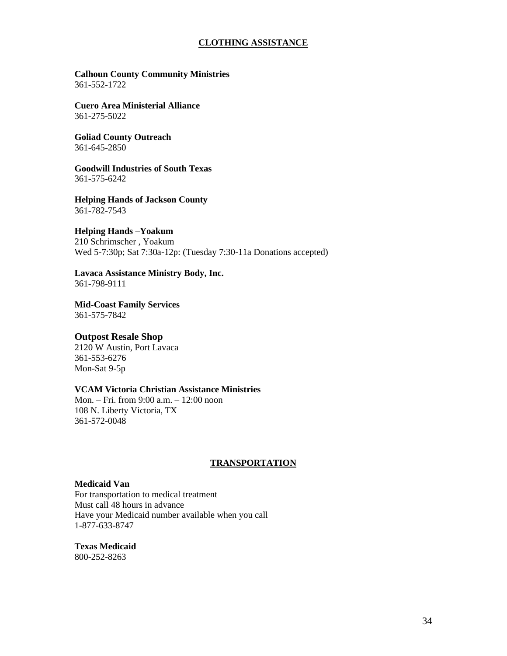## **CLOTHING ASSISTANCE**

#### **Calhoun County Community Ministries** 361-552-1722

**Cuero Area Ministerial Alliance** 361-275-5022

**Goliad County Outreach** 361-645-2850

**Goodwill Industries of South Texas** 361-575-6242

**Helping Hands of Jackson County** 361-782-7543

# **Helping Hands –Yoakum**

210 Schrimscher , Yoakum Wed 5-7:30p; Sat 7:30a-12p: (Tuesday 7:30-11a Donations accepted)

#### **Lavaca Assistance Ministry Body, Inc.** 361-798-9111

**Mid-Coast Family Services** 361-575-7842

## **Outpost Resale Shop**

2120 W Austin, Port Lavaca 361-553-6276 Mon-Sat 9-5p

## **VCAM Victoria Christian Assistance Ministries**

Mon. – Fri. from 9:00 a.m. – 12:00 noon 108 N. Liberty Victoria, TX 361-572-0048

## **TRANSPORTATION**

#### **Medicaid Van**

For transportation to medical treatment Must call 48 hours in advance Have your Medicaid number available when you call 1-877-633-8747

**Texas Medicaid** 800-252-8263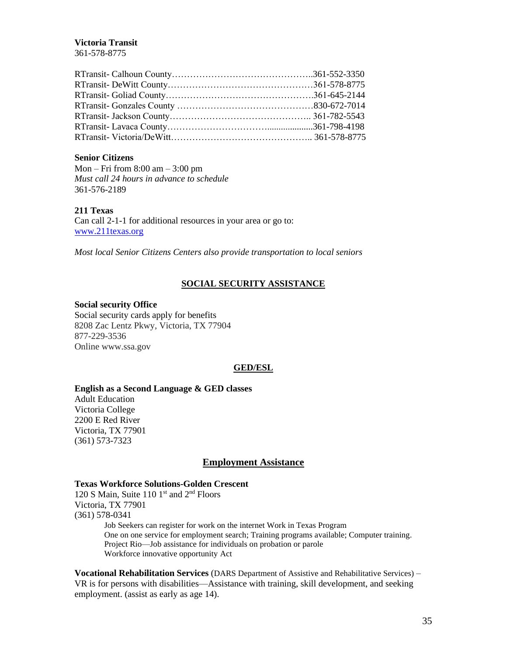# **Victoria Transit**

361-578-8775

#### **Senior Citizens**

Mon – Fri from 8:00 am – 3:00 pm *Must call 24 hours in advance to schedule*  361-576-2189

#### **211 Texas**

Can call 2-1-1 for additional resources in your area or go to: [www.211texas.org](http://www.211texas.org/)

*Most local Senior Citizens Centers also provide transportation to local seniors*

## **SOCIAL SECURITY ASSISTANCE**

#### **Social security Office**

Social security cards apply for benefits 8208 Zac Lentz Pkwy, Victoria, TX 77904 877-229-3536 Online www.ssa.gov

## **GED/ESL**

#### **English as a Second Language & GED classes**

Adult Education Victoria College 2200 E Red River Victoria, TX 77901 (361) 573-7323

## **Employment Assistance**

#### **Texas Workforce Solutions-Golden Crescent**

120 S Main, Suite 110 1st and 2<sup>nd</sup> Floors Victoria, TX 77901 (361) 578-0341 Job Seekers can register for work on the internet Work in Texas Program One on one service for employment search; Training programs available; Computer training. Project Rio—Job assistance for individuals on probation or parole Workforce innovative opportunity Act

**Vocational Rehabilitation Services** (DARS Department of Assistive and Rehabilitative Services) – VR is for persons with disabilities—Assistance with training, skill development, and seeking employment. (assist as early as age 14).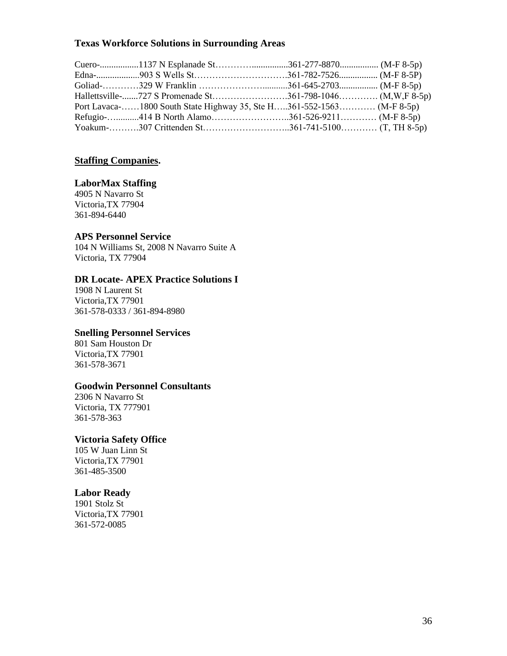# **Texas Workforce Solutions in Surrounding Areas**

| Port Lavaca-1800 South State Highway 35, Ste H361-552-1563 (M-F 8-5p) |  |
|-----------------------------------------------------------------------|--|
|                                                                       |  |
|                                                                       |  |

# **Staffing Companies.**

# **LaborMax Staffing**

4905 N Navarro St Victoria,TX 77904 361-894-6440

# **APS Personnel Service**

104 N Williams St, 2008 N Navarro Suite A Victoria, TX 77904

# **DR Locate- APEX Practice Solutions I**

1908 N Laurent St Victoria,TX 77901 361-578-0333 / 361-894-8980

# **Snelling Personnel Services**

801 Sam Houston Dr Victoria,TX 77901 361-578-3671

# **Goodwin Personnel Consultants**

2306 N Navarro St Victoria, TX 777901 361-578-363

# **Victoria Safety Office**

105 W Juan Linn St Victoria,TX 77901 361-485-3500

# **Labor Ready**

1901 Stolz St Victoria,TX 77901 361-572-0085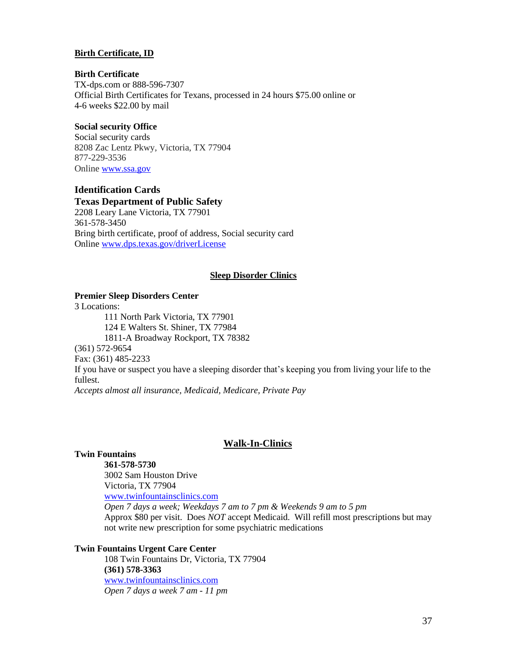#### **Birth Certificate, ID**

#### **Birth Certificate**

TX-dps.com or 888-596-7307 Official Birth Certificates for Texans, processed in 24 hours \$75.00 online or 4-6 weeks \$22.00 by mail

#### **Social security Office**

Social security cards 8208 Zac Lentz Pkwy, Victoria, TX 77904 877-229-3536 Online [www.ssa.gov](http://www.ssa.gov/)

# **Identification Cards Texas Department of Public Safety**

2208 Leary Lane Victoria, TX 77901 361-578-3450 Bring birth certificate, proof of address, Social security card Onlin[e www.dps.texas.gov/driverLicense](http://www.dps.texas.gov/driverLicense)

#### **Sleep Disorder Clinics**

# **Premier Sleep Disorders Center**

3 Locations: 111 North Park Victoria, TX 77901 124 E Walters St. Shiner, TX 77984 1811-A Broadway Rockport, TX 78382 (361) 572-9654 Fax: (361) 485-2233 If you have or suspect you have a sleeping disorder that's keeping you from living your life to the fullest. *Accepts almost all insurance, Medicaid, Medicare, Private Pay*

#### **Walk-In-Clinics**

#### **Twin Fountains**

**361-578-5730**

3002 Sam Houston Drive Victoria, TX 77904 [www.twinfountainsclinics.com](http://www.twinfountainsclinics.com/) *Open 7 days a week; Weekdays 7 am to 7 pm & Weekends 9 am to 5 pm*

Approx \$80 per visit. Does *NOT* accept Medicaid. Will refill most prescriptions but may not write new prescription for some psychiatric medications

#### **Twin Fountains Urgent Care Center**

108 Twin Fountains Dr, Victoria, TX 77904 **(361) 578-3363** [www.twinfountainsclinics.com](http://www.twinfountainsclinics.com/) *Open 7 days a week 7 am - 11 pm*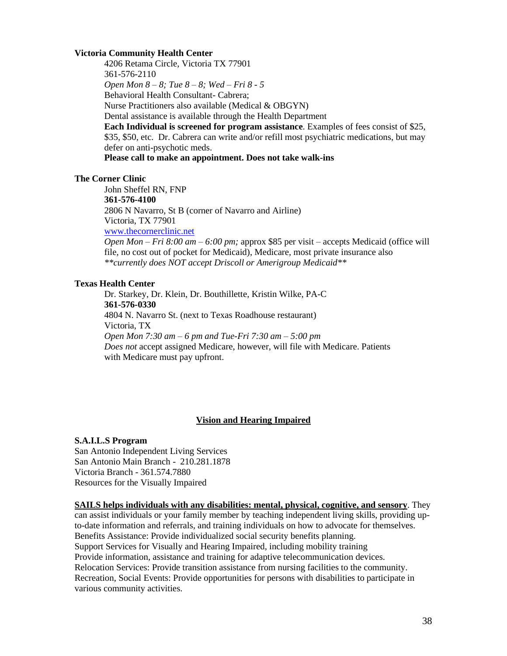## **Victoria Community Health Center**

4206 Retama Circle, Victoria TX 77901 361-576-2110 *Open Mon 8 – 8; Tue 8 – 8; Wed – Fri 8 - 5* Behavioral Health Consultant- Cabrera; Nurse Practitioners also available (Medical & OBGYN) Dental assistance is available through the Health Department **Each Individual is screened for program assistance**. Examples of fees consist of \$25, \$35, \$50, etc. Dr. Cabrera can write and/or refill most psychiatric medications, but may defer on anti-psychotic meds. **Please call to make an appointment. Does not take walk-ins**

#### **The Corner Clinic**

John Sheffel RN, FNP **361-576-4100** 2806 N Navarro, St B (corner of Navarro and Airline) Victoria, TX 77901 [www.thecornerclinic.net](http://www.thecornerclinic.net/) *Open Mon – Fri 8:00 am – 6:00 pm;* approx \$85 per visit – accepts Medicaid (office will file, no cost out of pocket for Medicaid), Medicare, most private insurance also *\*\*currently does NOT accept Driscoll or Amerigroup Medicaid\*\**

#### **Texas Health Center**

Dr. Starkey, Dr. Klein, Dr. Bouthillette, Kristin Wilke, PA-C **361-576-0330** 4804 N. Navarro St. (next to Texas Roadhouse restaurant) Victoria, TX *Open Mon 7:30 am – 6 pm and Tue-Fri 7:30 am – 5:00 pm Does not* accept assigned Medicare, however, will file with Medicare. Patients with Medicare must pay upfront.

#### **Vision and Hearing Impaired**

#### **S.A.I.L.S Program**

San Antonio Independent Living Services San Antonio Main Branch - 210.281.1878 Victoria Branch - 361.574.7880 Resources for the Visually Impaired

#### **SAILS helps individuals with any disabilities: mental, physical, cognitive, and sensory**. They

can assist individuals or your family member by teaching independent living skills, providing upto-date information and referrals, and training individuals on how to advocate for themselves. Benefits Assistance: Provide individualized social security benefits planning. Support Services for Visually and Hearing Impaired, including mobility training Provide information, assistance and training for adaptive telecommunication devices. Relocation Services: Provide transition assistance from nursing facilities to the community. Recreation, Social Events: Provide opportunities for persons with disabilities to participate in various community activities.